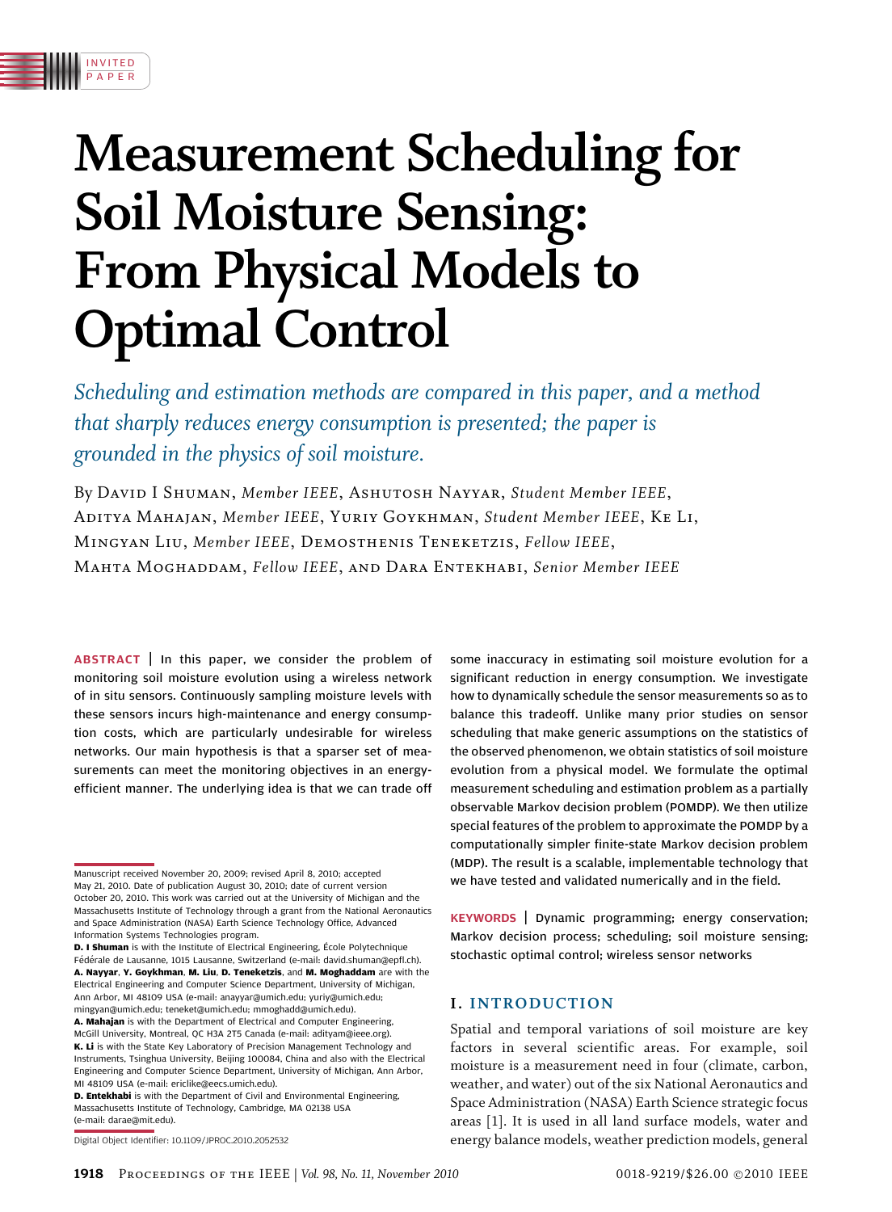# Measurement Scheduling for Soil Moisture Sensing: From Physical Models to Optimal Control

*Scheduling and estimation methods are compared in this paper, and a method that sharply reduces energy consumption is presented; the paper is grounded in the physics of soil moisture.*

By David I Shuman, *Member IEEE*, Ashutosh Nayyar, *Student Member IEEE*, Aditya Mahajan, *Member IEEE*, Yuriy Goykhman, *Student Member IEEE*, Ke Li, Mingyan Liu, *Member IEEE*, Demosthenis Teneketzis, *Fellow IEEE*, Mahta Moghaddam, *Fellow IEEE*, and Dara Entekhabi, *Senior Member IEEE*

ABSTRACT | In this paper, we consider the problem of monitoring soil moisture evolution using a wireless network of in situ sensors. Continuously sampling moisture levels with these sensors incurs high-maintenance and energy consumption costs, which are particularly undesirable for wireless networks. Our main hypothesis is that a sparser set of measurements can meet the monitoring objectives in an energyefficient manner. The underlying idea is that we can trade off

INVITED PAPER

some inaccuracy in estimating soil moisture evolution for a significant reduction in energy consumption. We investigate how to dynamically schedule the sensor measurements so as to balance this tradeoff. Unlike many prior studies on sensor scheduling that make generic assumptions on the statistics of the observed phenomenon, we obtain statistics of soil moisture evolution from a physical model. We formulate the optimal measurement scheduling and estimation problem as a partially observable Markov decision problem (POMDP). We then utilize special features of the problem to approximate the POMDP by a computationally simpler finite-state Markov decision problem (MDP). The result is a scalable, implementable technology that we have tested and validated numerically and in the field.

KEYWORDS | Dynamic programming; energy conservation; Markov decision process; scheduling; soil moisture sensing; stochastic optimal control; wireless sensor networks

# I. INTRODUCTION

Spatial and temporal variations of soil moisture are key factors in several scientific areas. For example, soil moisture is a measurement need in four (climate, carbon, weather, and water) out of the six National Aeronautics and Space Administration (NASA) Earth Science strategic focus areas [1]. It is used in all land surface models, water and energy balance models, weather prediction models, general

Manuscript received November 20, 2009; revised April 8, 2010; accepted May 21, 2010. Date of publication August 30, 2010; date of current version October 20, 2010. This work was carried out at the University of Michigan and the Massachusetts Institute of Technology through a grant from the National Aeronautics and Space Administration (NASA) Earth Science Technology Office, Advanced Information Systems Technologies program.

D. I Shuman is with the Institute of Electrical Engineering, École Polytechnique Fédérale de Lausanne, 1015 Lausanne, Switzerland (e-mail: david.shuman@epfl.ch). A. Nayyar, Y. Goykhman, M. Liu, D. Teneketzis, and M. Moghaddam are with the Electrical Engineering and Computer Science Department, University of Michigan, Ann Arbor, MI 48109 USA (e-mail: anayyar@umich.edu; yuriy@umich.edu; mingyan@umich.edu; teneket@umich.edu; mmoghadd@umich.edu).

A. Mahajan is with the Department of Electrical and Computer Engineering, McGill University, Montreal, QC H3A 2T5 Canada (e-mail: adityam@ieee.org). K. Li is with the State Key Laboratory of Precision Management Technology and Instruments, Tsinghua University, Beijing 100084, China and also with the Electrical Engineering and Computer Science Department, University of Michigan, Ann Arbor, MI 48109 USA (e-mail: ericlike@eecs.umich.edu).

D. Entekhabi is with the Department of Civil and Environmental Engineering, Massachusetts Institute of Technology, Cambridge, MA 02138 USA (e-mail: darae@mit.edu).

Digital Object Identifier: 10.1109/JPROC.2010.2052532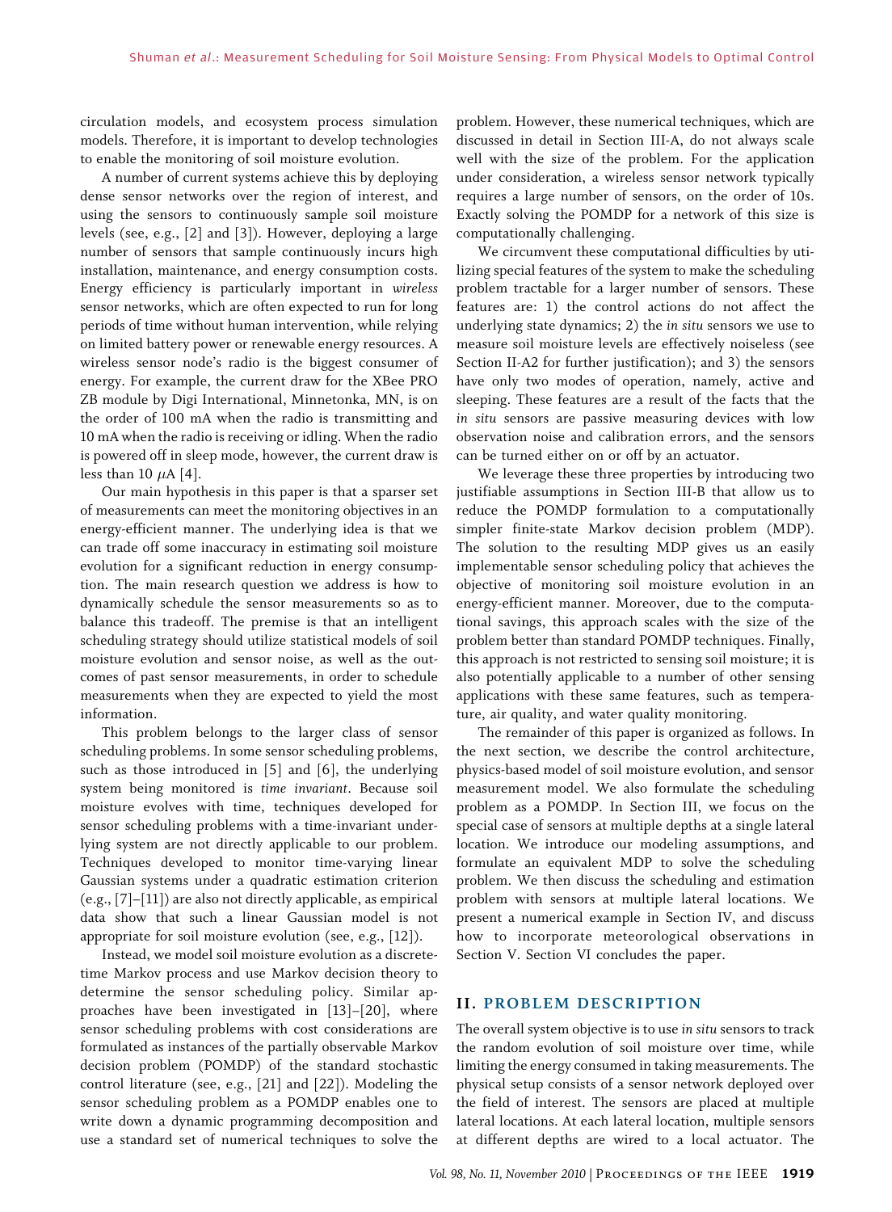circulation models, and ecosystem process simulation models. Therefore, it is important to develop technologies to enable the monitoring of soil moisture evolution.

A number of current systems achieve this by deploying dense sensor networks over the region of interest, and using the sensors to continuously sample soil moisture levels (see, e.g., [2] and [3]). However, deploying a large number of sensors that sample continuously incurs high installation, maintenance, and energy consumption costs. Energy efficiency is particularly important in *wireless* sensor networks, which are often expected to run for long periods of time without human intervention, while relying on limited battery power or renewable energy resources. A wireless sensor node's radio is the biggest consumer of energy. For example, the current draw for the XBee PRO ZB module by Digi International, Minnetonka, MN, is on the order of 100 mA when the radio is transmitting and 10 mA when the radio is receiving or idling. When the radio is powered off in sleep mode, however, the current draw is less than 10  $\mu$ A [4].

Our main hypothesis in this paper is that a sparser set of measurements can meet the monitoring objectives in an energy-efficient manner. The underlying idea is that we can trade off some inaccuracy in estimating soil moisture evolution for a significant reduction in energy consumption. The main research question we address is how to dynamically schedule the sensor measurements so as to balance this tradeoff. The premise is that an intelligent scheduling strategy should utilize statistical models of soil moisture evolution and sensor noise, as well as the outcomes of past sensor measurements, in order to schedule measurements when they are expected to yield the most information.

This problem belongs to the larger class of sensor scheduling problems. In some sensor scheduling problems, such as those introduced in [5] and [6], the underlying system being monitored is *time invariant*. Because soil moisture evolves with time, techniques developed for sensor scheduling problems with a time-invariant underlying system are not directly applicable to our problem. Techniques developed to monitor time-varying linear Gaussian systems under a quadratic estimation criterion (e.g., [7]–[11]) are also not directly applicable, as empirical data show that such a linear Gaussian model is not appropriate for soil moisture evolution (see, e.g., [12]).

Instead, we model soil moisture evolution as a discretetime Markov process and use Markov decision theory to determine the sensor scheduling policy. Similar approaches have been investigated in [13]–[20], where sensor scheduling problems with cost considerations are formulated as instances of the partially observable Markov decision problem (POMDP) of the standard stochastic control literature (see, e.g., [21] and [22]). Modeling the sensor scheduling problem as a POMDP enables one to write down a dynamic programming decomposition and use a standard set of numerical techniques to solve the

problem. However, these numerical techniques, which are discussed in detail in Section III-A, do not always scale well with the size of the problem. For the application under consideration, a wireless sensor network typically requires a large number of sensors, on the order of 10s. Exactly solving the POMDP for a network of this size is computationally challenging.

We circumvent these computational difficulties by utilizing special features of the system to make the scheduling problem tractable for a larger number of sensors. These features are: 1) the control actions do not affect the underlying state dynamics; 2) the *in situ* sensors we use to measure soil moisture levels are effectively noiseless (see Section II-A2 for further justification); and 3) the sensors have only two modes of operation, namely, active and sleeping. These features are a result of the facts that the *in situ* sensors are passive measuring devices with low observation noise and calibration errors, and the sensors can be turned either on or off by an actuator.

We leverage these three properties by introducing two justifiable assumptions in Section III-B that allow us to reduce the POMDP formulation to a computationally simpler finite-state Markov decision problem (MDP). The solution to the resulting MDP gives us an easily implementable sensor scheduling policy that achieves the objective of monitoring soil moisture evolution in an energy-efficient manner. Moreover, due to the computational savings, this approach scales with the size of the problem better than standard POMDP techniques. Finally, this approach is not restricted to sensing soil moisture; it is also potentially applicable to a number of other sensing applications with these same features, such as temperature, air quality, and water quality monitoring.

The remainder of this paper is organized as follows. In the next section, we describe the control architecture, physics-based model of soil moisture evolution, and sensor measurement model. We also formulate the scheduling problem as a POMDP. In Section III, we focus on the special case of sensors at multiple depths at a single lateral location. We introduce our modeling assumptions, and formulate an equivalent MDP to solve the scheduling problem. We then discuss the scheduling and estimation problem with sensors at multiple lateral locations. We present a numerical example in Section IV, and discuss how to incorporate meteorological observations in Section V. Section VI concludes the paper.

## II. PROBLEM DESCRIPTION

The overall system objective is to use *in situ* sensors to track the random evolution of soil moisture over time, while limiting the energy consumed in taking measurements. The physical setup consists of a sensor network deployed over the field of interest. The sensors are placed at multiple lateral locations. At each lateral location, multiple sensors at different depths are wired to a local actuator. The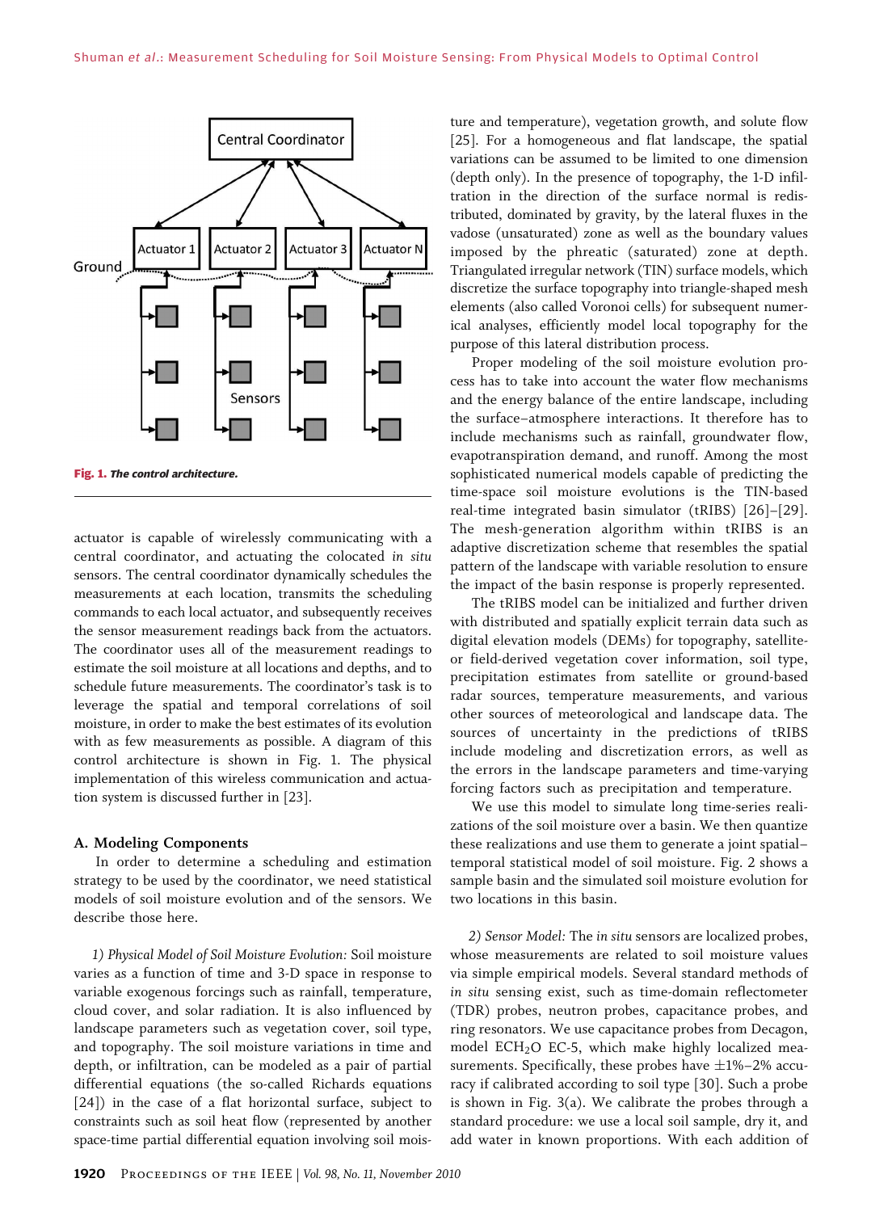

actuator is capable of wirelessly communicating with a central coordinator, and actuating the colocated *in situ* sensors. The central coordinator dynamically schedules the measurements at each location, transmits the scheduling commands to each local actuator, and subsequently receives the sensor measurement readings back from the actuators. The coordinator uses all of the measurement readings to estimate the soil moisture at all locations and depths, and to schedule future measurements. The coordinator's task is to leverage the spatial and temporal correlations of soil moisture, in order to make the best estimates of its evolution with as few measurements as possible. A diagram of this control architecture is shown in Fig. 1. The physical implementation of this wireless communication and actuation system is discussed further in [23].

#### A. Modeling Components

In order to determine a scheduling and estimation strategy to be used by the coordinator, we need statistical models of soil moisture evolution and of the sensors. We describe those here.

*1) Physical Model of Soil Moisture Evolution:* Soil moisture varies as a function of time and 3-D space in response to variable exogenous forcings such as rainfall, temperature, cloud cover, and solar radiation. It is also influenced by landscape parameters such as vegetation cover, soil type, and topography. The soil moisture variations in time and depth, or infiltration, can be modeled as a pair of partial differential equations (the so-called Richards equations [24]) in the case of a flat horizontal surface, subject to constraints such as soil heat flow (represented by another space-time partial differential equation involving soil moisture and temperature), vegetation growth, and solute flow [25]. For a homogeneous and flat landscape, the spatial variations can be assumed to be limited to one dimension (depth only). In the presence of topography, the 1-D infiltration in the direction of the surface normal is redistributed, dominated by gravity, by the lateral fluxes in the vadose (unsaturated) zone as well as the boundary values imposed by the phreatic (saturated) zone at depth. Triangulated irregular network (TIN) surface models, which discretize the surface topography into triangle-shaped mesh elements (also called Voronoi cells) for subsequent numerical analyses, efficiently model local topography for the purpose of this lateral distribution process.

Proper modeling of the soil moisture evolution process has to take into account the water flow mechanisms and the energy balance of the entire landscape, including the surface–atmosphere interactions. It therefore has to include mechanisms such as rainfall, groundwater flow, evapotranspiration demand, and runoff. Among the most sophisticated numerical models capable of predicting the time-space soil moisture evolutions is the TIN-based real-time integrated basin simulator (tRIBS) [26]–[29]. The mesh-generation algorithm within tRIBS is an adaptive discretization scheme that resembles the spatial pattern of the landscape with variable resolution to ensure the impact of the basin response is properly represented.

The tRIBS model can be initialized and further driven with distributed and spatially explicit terrain data such as digital elevation models (DEMs) for topography, satelliteor field-derived vegetation cover information, soil type, precipitation estimates from satellite or ground-based radar sources, temperature measurements, and various other sources of meteorological and landscape data. The sources of uncertainty in the predictions of tRIBS include modeling and discretization errors, as well as the errors in the landscape parameters and time-varying forcing factors such as precipitation and temperature.

We use this model to simulate long time-series realizations of the soil moisture over a basin. We then quantize these realizations and use them to generate a joint spatial– temporal statistical model of soil moisture. Fig. 2 shows a sample basin and the simulated soil moisture evolution for two locations in this basin.

*2) Sensor Model:* The *in situ* sensors are localized probes, whose measurements are related to soil moisture values via simple empirical models. Several standard methods of *in situ* sensing exist, such as time-domain reflectometer (TDR) probes, neutron probes, capacitance probes, and ring resonators. We use capacitance probes from Decagon, model ECH<sub>2</sub>O EC-5, which make highly localized measurements. Specifically, these probes have  $\pm 1\%$ –2% accuracy if calibrated according to soil type [30]. Such a probe is shown in Fig. 3(a). We calibrate the probes through a standard procedure: we use a local soil sample, dry it, and add water in known proportions. With each addition of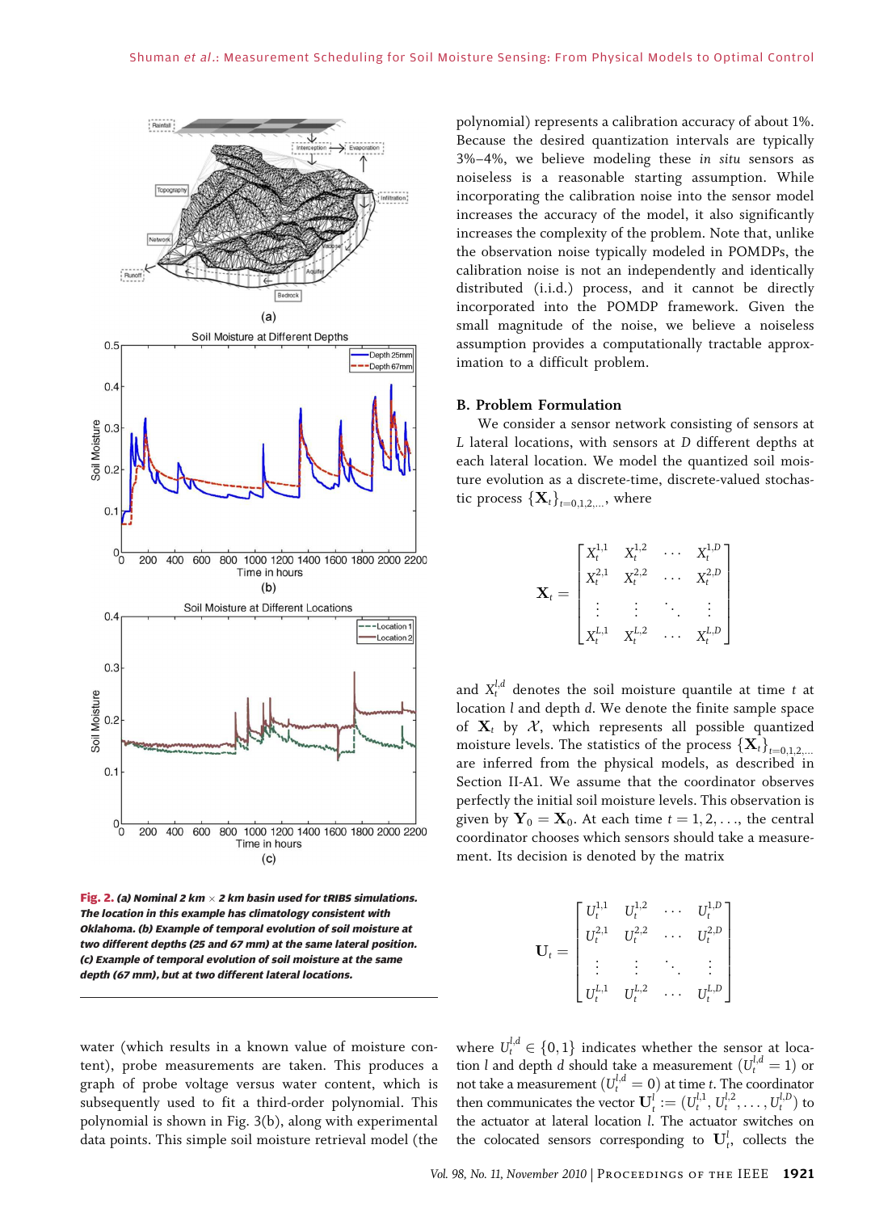

Fig. 2. (a) Nominal 2 km  $\times$  2 km basin used for tRIBS simulations. The location in this example has climatology consistent with Oklahoma. (b) Example of temporal evolution of soil moisture at two different depths (25 and 67 mm) at the same lateral position. (c) Example of temporal evolution of soil moisture at the same depth (67 mm), but at two different lateral locations.

water (which results in a known value of moisture content), probe measurements are taken. This produces a graph of probe voltage versus water content, which is subsequently used to fit a third-order polynomial. This polynomial is shown in Fig. 3(b), along with experimental data points. This simple soil moisture retrieval model (the polynomial) represents a calibration accuracy of about 1%. Because the desired quantization intervals are typically 3%–4%, we believe modeling these *in situ* sensors as noiseless is a reasonable starting assumption. While incorporating the calibration noise into the sensor model increases the accuracy of the model, it also significantly increases the complexity of the problem. Note that, unlike the observation noise typically modeled in POMDPs, the calibration noise is not an independently and identically distributed (i.i.d.) process, and it cannot be directly incorporated into the POMDP framework. Given the small magnitude of the noise, we believe a noiseless assumption provides a computationally tractable approximation to a difficult problem.

## B. Problem Formulation

We consider a sensor network consisting of sensors at *L* lateral locations, with sensors at *D* different depths at each lateral location. We model the quantized soil moisture evolution as a discrete-time, discrete-valued stochastic process  $\left\{\mathbf{X}_t\right\}_{t=0,1,2,...},$  where

$$
\mathbf{X}_t = \begin{bmatrix} X_t^{1,1} & X_t^{1,2} & \cdots & X_t^{1,D} \\ X_t^{2,1} & X_t^{2,2} & \cdots & X_t^{2,D} \\ \vdots & \vdots & \ddots & \vdots \\ X_t^{L,1} & X_t^{L,2} & \cdots & X_t^{L,D} \end{bmatrix}
$$

and  $X_t^{l,d}$  denotes the soil moisture quantile at time  $t$  at location *l* and depth *d*. We denote the finite sample space of  $X_t$  by  $X$ , which represents all possible quantized moisture levels. The statistics of the process  $\{X_t\}_{t=0,1,2,\ldots}$ are inferred from the physical models, as described in Section II-A1. We assume that the coordinator observes perfectly the initial soil moisture levels. This observation is given by  $Y_0 = X_0$ . At each time  $t = 1, 2, \ldots$ , the central coordinator chooses which sensors should take a measurement. Its decision is denoted by the matrix

$$
\mathbf{U}_t = \begin{bmatrix} U_t^{1,1} & U_t^{1,2} & \cdots & U_t^{1,D} \\ U_t^{2,1} & U_t^{2,2} & \cdots & U_t^{2,D} \\ \vdots & \vdots & \ddots & \vdots \\ U_t^{L,1} & U_t^{L,2} & \cdots & U_t^{L,D} \end{bmatrix}
$$

where  $U_t^{l,d} \in \{0,1\}$  indicates whether the sensor at location *l* and depth *d* should take a measurement  $(U_t^{l,d} = 1)$  or not take a measurement  $(U_t^{l,d} = 0)$  at time *t*. The coordinator then communicates the vector  $\mathbf{U}_t^l := (U_t^{l,1}, U_t^{l,2}, \dots, U_t^{l,D})$  to the actuator at lateral location *l*. The actuator switches on the colocated sensors corresponding to  $\mathbf{U}_{t}^{l}$ , collects the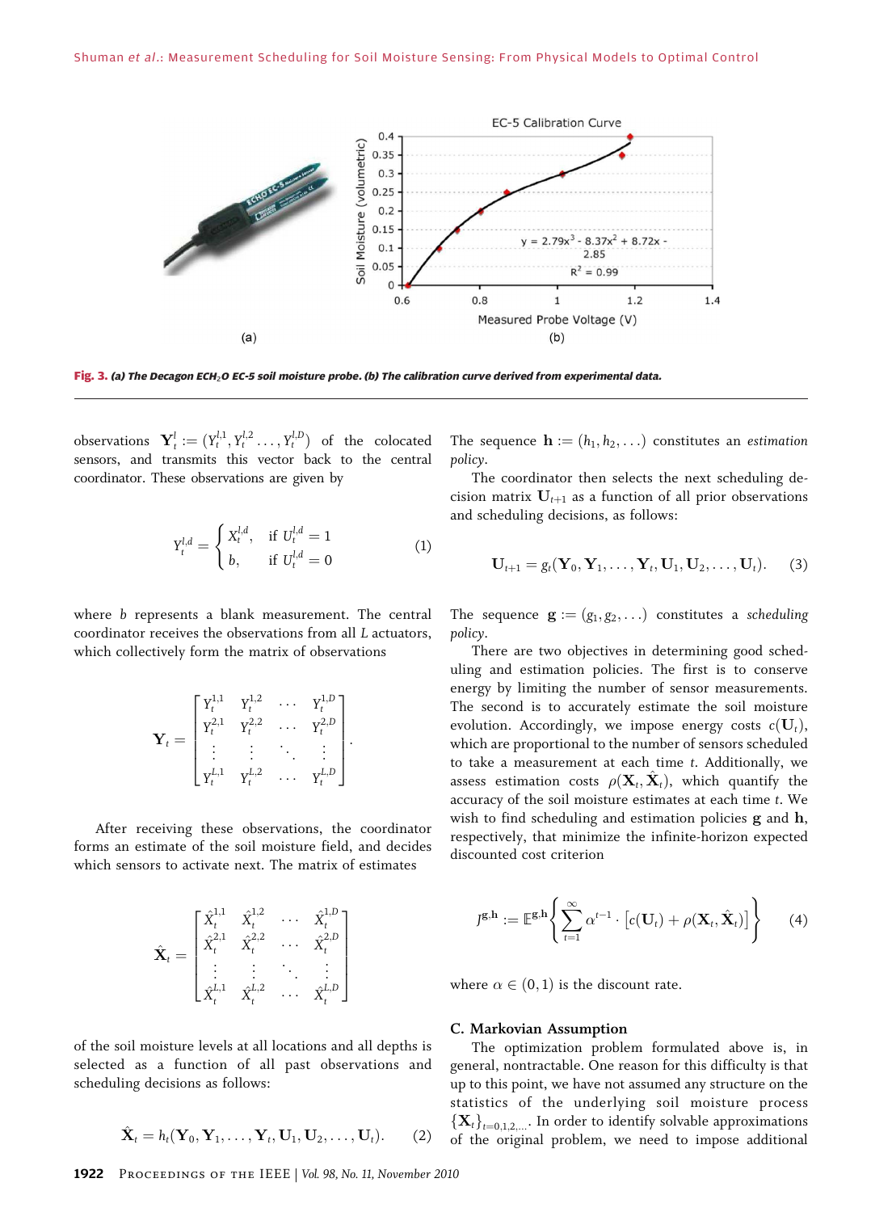

Fig. 3. (a) The Decagon ECH<sub>2</sub>O EC-5 soil moisture probe. (b) The calibration curve derived from experimental data.

 $\mathbf{Y}_t^l := (Y_t^{l,1}, Y_t^{l,2} \dots, Y_t^{l,D})$  of the colocated sensors, and transmits this vector back to the central coordinator. These observations are given by

$$
Y_t^{l,d} = \begin{cases} X_t^{l,d}, & \text{if } U_t^{l,d} = 1 \\ b, & \text{if } U_t^{l,d} = 0 \end{cases}
$$
 (1)

where *b* represents a blank measurement. The central coordinator receives the observations from all *L* actuators, which collectively form the matrix of observations

$$
\mathbf{Y}_{t} = \begin{bmatrix} Y_{t}^{1,1} & Y_{t}^{1,2} & \cdots & Y_{t}^{1,D} \\ Y_{t}^{2,1} & Y_{t}^{2,2} & \cdots & Y_{t}^{2,D} \\ \vdots & \vdots & \ddots & \vdots \\ Y_{t}^{L,1} & Y_{t}^{L,2} & \cdots & Y_{t}^{L,D} \end{bmatrix}.
$$

After receiving these observations, the coordinator forms an estimate of the soil moisture field, and decides which sensors to activate next. The matrix of estimates

$$
\hat{\mathbf{X}}_t = \begin{bmatrix} \hat{X}_t^{1,1} & \hat{X}_t^{1,2} & \cdots & \hat{X}_t^{1,D} \\ \hat{X}_t^{2,1} & \hat{X}_t^{2,2} & \cdots & \hat{X}_t^{2,D} \\ \vdots & \vdots & \ddots & \vdots \\ \hat{X}_t^{L,1} & \hat{X}_t^{L,2} & \cdots & \hat{X}_t^{L,D} \end{bmatrix}
$$

of the soil moisture levels at all locations and all depths is selected as a function of all past observations and scheduling decisions as follows:

$$
\hat{\mathbf{X}}_t = h_t(\mathbf{Y}_0, \mathbf{Y}_1, \dots, \mathbf{Y}_t, \mathbf{U}_1, \mathbf{U}_2, \dots, \mathbf{U}_t).
$$
 (2)

The sequence  $\mathbf{h} := (h_1, h_2, \ldots)$  constitutes an *estimation policy*.

The coordinator then selects the next scheduling decision matrix  $U_{t+1}$  as a function of all prior observations and scheduling decisions, as follows:

$$
\mathbf{U}_{t+1} = g_t(\mathbf{Y}_0, \mathbf{Y}_1, \dots, \mathbf{Y}_t, \mathbf{U}_1, \mathbf{U}_2, \dots, \mathbf{U}_t). \tag{3}
$$

The sequence  $\mathbf{g} := (g_1, g_2, \ldots)$  constitutes a *scheduling policy*.

There are two objectives in determining good scheduling and estimation policies. The first is to conserve energy by limiting the number of sensor measurements. The second is to accurately estimate the soil moisture evolution. Accordingly, we impose energy costs  $c(\mathbf{U}_t)$ , which are proportional to the number of sensors scheduled to take a measurement at each time *t*. Additionally, we assess estimation costs  $\rho({\bf X}_t, \hat{\bf X}_t)$ , which quantify the accuracy of the soil moisture estimates at each time *t*. We wish to find scheduling and estimation policies **g** and **h**, respectively, that minimize the infinite-horizon expected discounted cost criterion

$$
J^{\mathbf{g},\mathbf{h}} := \mathbb{E}^{\mathbf{g},\mathbf{h}} \left\{ \sum_{t=1}^{\infty} \alpha^{t-1} \cdot \left[ c(\mathbf{U}_t) + \rho(\mathbf{X}_t, \hat{\mathbf{X}}_t) \right] \right\}
$$
(4)

where  $\alpha \in (0,1)$  is the discount rate.

#### C. Markovian Assumption

The optimization problem formulated above is, in general, nontractable. One reason for this difficulty is that up to this point, we have not assumed any structure on the statistics of the underlying soil moisture process  $\left\{\mathbf{X}_{t}\right\}_{t=0,1,2,...}$  . In order to identify solvable approximations of the original problem, we need to impose additional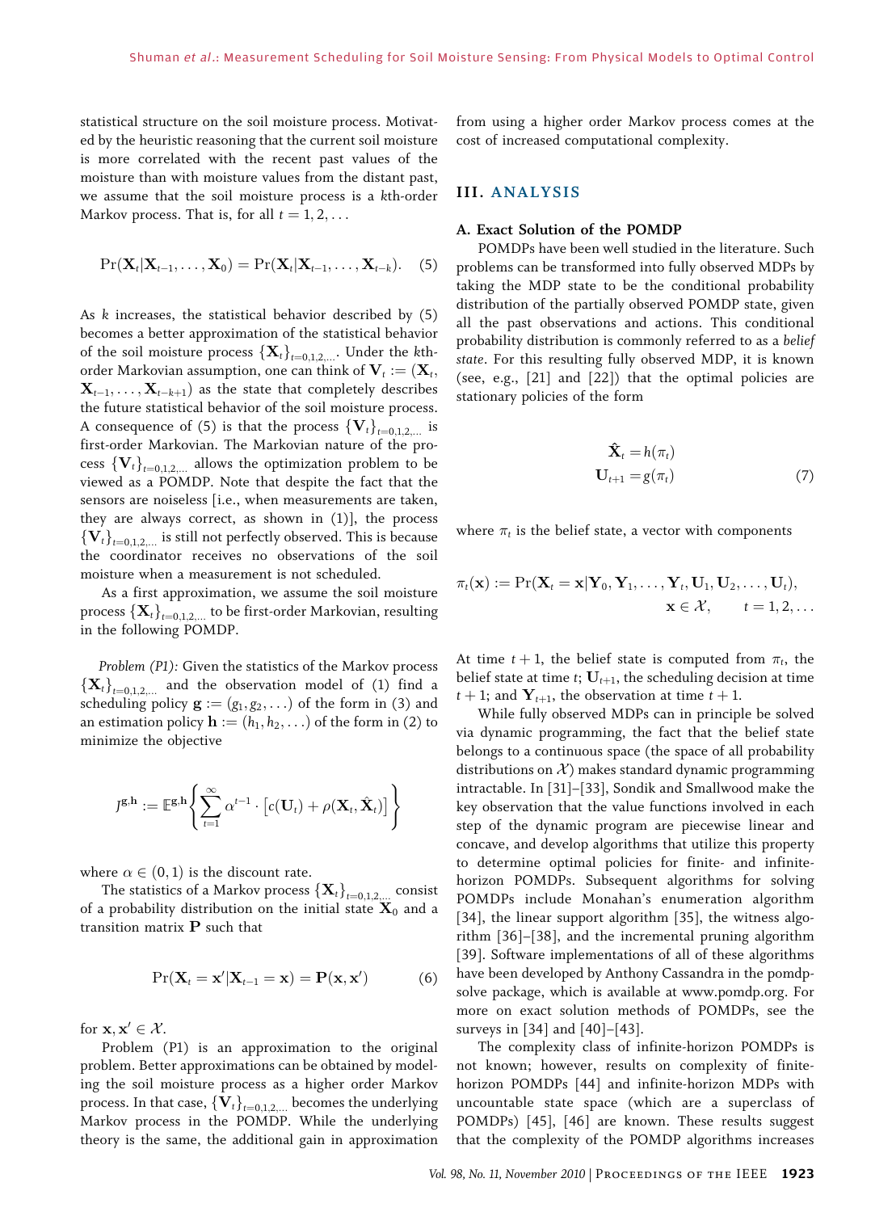statistical structure on the soil moisture process. Motivated by the heuristic reasoning that the current soil moisture is more correlated with the recent past values of the moisture than with moisture values from the distant past, we assume that the soil moisture process is a *k*th-order Markov process. That is, for all  $t = 1, 2, \ldots$ 

$$
Pr(\mathbf{X}_{t}|\mathbf{X}_{t-1},\ldots,\mathbf{X}_{0})=Pr(\mathbf{X}_{t}|\mathbf{X}_{t-1},\ldots,\mathbf{X}_{t-k}).
$$
 (5)

As *k* increases, the statistical behavior described by (5) becomes a better approximation of the statistical behavior of the soil moisture process  $\left\{\mathbf{X}_{t}\right\}_{t=0,1,2,...}$  . Under the *k*thorder Markovian assumption, one can think of  $\mathbf{V}_t := (\mathbf{X}_t, \mathbf{X}_t)$  $\mathbf{X}_{t-1}, \ldots, \mathbf{X}_{t-k+1})$  as the state that completely describes the future statistical behavior of the soil moisture process. A consequence of (5) is that the process  ${\left\{{\mathbf{V}}_t\right\}}_{t=0,1,2,...}$  is first-order Markovian. The Markovian nature of the process  $\left\{\mathbf{V}_t\right\}_{t=0,1,2,...}$  allows the optimization problem to be viewed as a POMDP. Note that despite the fact that the sensors are noiseless [i.e., when measurements are taken, they are always correct, as shown in (1)], the process  $\left\{\mathbf{V}_t\right\}_{t=0,1,2,...}$  is still not perfectly observed. This is because the coordinator receives no observations of the soil moisture when a measurement is not scheduled.

As a first approximation, we assume the soil moisture process  $\left\{\mathbf{X}_t\right\}_{t=0,1,2,...}$  to be first-order Markovian, resulting in the following POMDP.

*Problem (P1):* Given the statistics of the Markov process  ${X_t}_{t=0,1,2,...}$  and the observation model of (1) find a scheduling policy  $\mathbf{g} := (g_1, g_2, \ldots)$  of the form in (3) and an estimation policy  $\mathbf{h} := (h_1, h_2, \ldots)$  of the form in (2) to minimize the objective

$$
\textit{J}^{g,h}:=\mathbb{E}^{g,h}\Bigg\{\sum_{t=1}^{\infty}\alpha^{t-1}\cdot\big[c(\mathbf{U}_t)+\rho(\mathbf{X}_t,\hat{\mathbf{X}}_t)\big]\Bigg\}
$$

where  $\alpha \in (0,1)$  is the discount rate.

The statistics of a Markov process  $\left\{\mathbf{X}_t\right\}_{t=0,1,2,...}$  consist of a probability distribution on the initial state  $\mathbf{X}_0$  and a transition matrix  $P$  such that

$$
Pr(\mathbf{X}_{t} = \mathbf{x}'|\mathbf{X}_{t-1} = \mathbf{x}) = \mathbf{P}(\mathbf{x}, \mathbf{x}') \tag{6}
$$

for  $\mathbf{x}, \mathbf{x}' \in \mathcal{X}$ .

Problem (P1) is an approximation to the original problem. Better approximations can be obtained by modeling the soil moisture process as a higher order Markov process. In that case,  $\left\{ \mathbf{V}_{t}\right\} _{t=0,1,2,...}$  becomes the underlying Markov process in the POMDP. While the underlying theory is the same, the additional gain in approximation from using a higher order Markov process comes at the cost of increased computational complexity.

## III. ANALYSIS

#### A. Exact Solution of the POMDP

POMDPs have been well studied in the literature. Such problems can be transformed into fully observed MDPs by taking the MDP state to be the conditional probability distribution of the partially observed POMDP state, given all the past observations and actions. This conditional probability distribution is commonly referred to as a *belief state*. For this resulting fully observed MDP, it is known (see, e.g., [21] and [22]) that the optimal policies are stationary policies of the form

$$
\hat{\mathbf{X}}_t = h(\pi_t) \n\mathbf{U}_{t+1} = g(\pi_t)
$$
\n(7)

where  $\pi_t$  is the belief state, a vector with components

$$
\pi_t(\mathbf{x}) := \Pr(\mathbf{X}_t = \mathbf{x} | \mathbf{Y}_0, \mathbf{Y}_1, \dots, \mathbf{Y}_t, \mathbf{U}_1, \mathbf{U}_2, \dots, \mathbf{U}_t),
$$
  

$$
\mathbf{x} \in \mathcal{X}, \qquad t = 1, 2, \dots
$$

At time  $t + 1$ , the belief state is computed from  $\pi_t$ , the belief state at time  $t$ ;  $\mathbf{U}_{t+1}$ , the scheduling decision at time  $t + 1$ ; and  $Y_{t+1}$ , the observation at time  $t + 1$ .

While fully observed MDPs can in principle be solved via dynamic programming, the fact that the belief state belongs to a continuous space (the space of all probability distributions on  $\mathcal{X}$ ) makes standard dynamic programming intractable. In [31]–[33], Sondik and Smallwood make the key observation that the value functions involved in each step of the dynamic program are piecewise linear and concave, and develop algorithms that utilize this property to determine optimal policies for finite- and infinitehorizon POMDPs. Subsequent algorithms for solving POMDPs include Monahan's enumeration algorithm [34], the linear support algorithm [35], the witness algorithm [36]–[38], and the incremental pruning algorithm [39]. Software implementations of all of these algorithms have been developed by Anthony Cassandra in the pomdpsolve package, which is available at www.pomdp.org. For more on exact solution methods of POMDPs, see the surveys in [34] and [40]–[43].

The complexity class of infinite-horizon POMDPs is not known; however, results on complexity of finitehorizon POMDPs [44] and infinite-horizon MDPs with uncountable state space (which are a superclass of POMDPs) [45], [46] are known. These results suggest that the complexity of the POMDP algorithms increases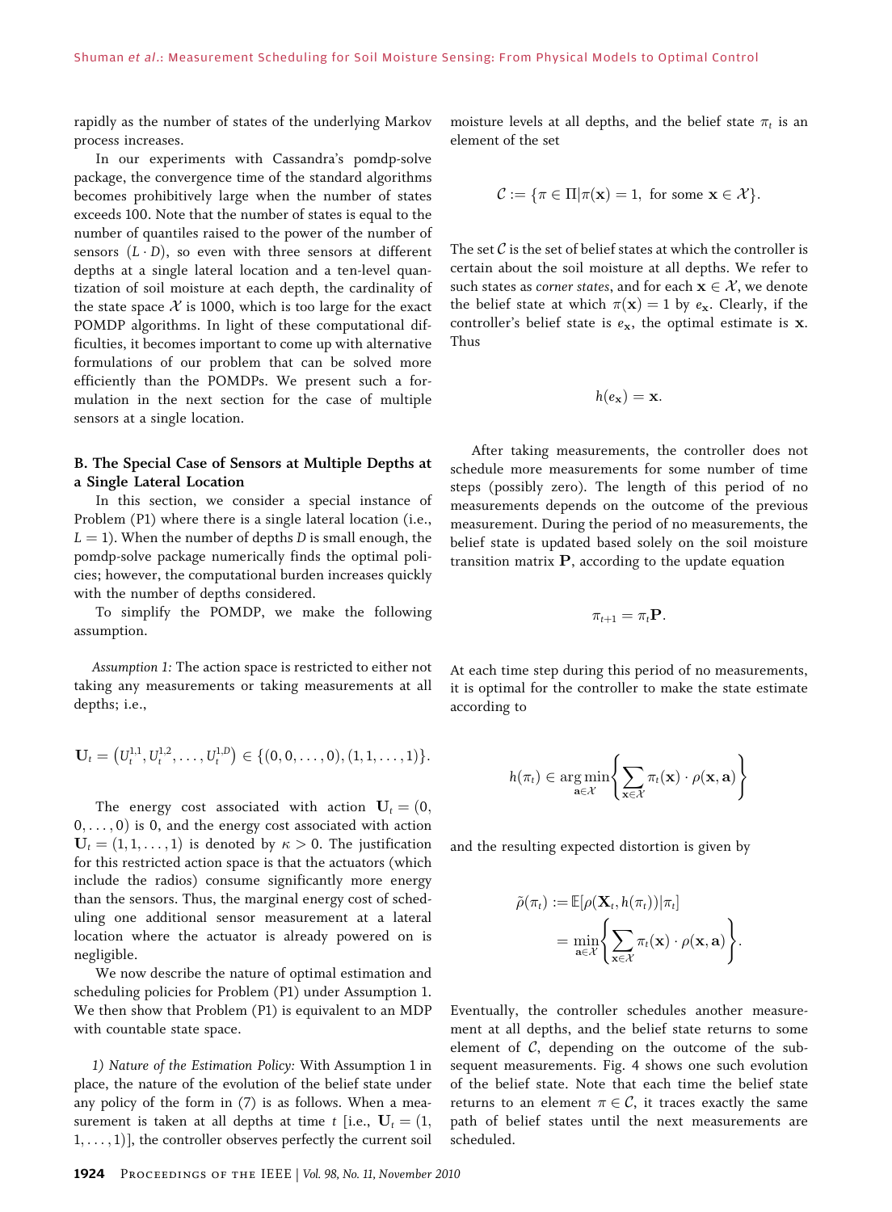rapidly as the number of states of the underlying Markov process increases.

In our experiments with Cassandra's pomdp-solve package, the convergence time of the standard algorithms becomes prohibitively large when the number of states exceeds 100. Note that the number of states is equal to the number of quantiles raised to the power of the number of sensors  $(L \cdot D)$ , so even with three sensors at different depths at a single lateral location and a ten-level quantization of soil moisture at each depth, the cardinality of the state space  $\mathcal X$  is 1000, which is too large for the exact POMDP algorithms. In light of these computational difficulties, it becomes important to come up with alternative formulations of our problem that can be solved more efficiently than the POMDPs. We present such a formulation in the next section for the case of multiple sensors at a single location.

# B. The Special Case of Sensors at Multiple Depths at a Single Lateral Location

In this section, we consider a special instance of Problem (P1) where there is a single lateral location (i.e.,  $L = 1$ ). When the number of depths *D* is small enough, the pomdp-solve package numerically finds the optimal policies; however, the computational burden increases quickly with the number of depths considered.

To simplify the POMDP, we make the following assumption.

*Assumption 1:* The action space is restricted to either not taking any measurements or taking measurements at all depths; i.e.,

$$
\mathbf{U}_t = \left(U_t^{1,1}, U_t^{1,2}, \ldots, U_t^{1,D}\right) \in \{(0,0,\ldots,0), (1,1,\ldots,1)\}.
$$

The energy cost associated with action  $U_t = (0, 0)$  $(0, \ldots, 0)$  is 0, and the energy cost associated with action  $U_t = (1, 1, \ldots, 1)$  is denoted by  $\kappa > 0$ . The justification for this restricted action space is that the actuators (which include the radios) consume significantly more energy than the sensors. Thus, the marginal energy cost of scheduling one additional sensor measurement at a lateral location where the actuator is already powered on is negligible.

We now describe the nature of optimal estimation and scheduling policies for Problem (P1) under Assumption 1. We then show that Problem (P1) is equivalent to an MDP with countable state space.

*1) Nature of the Estimation Policy:* With Assumption 1 in place, the nature of the evolution of the belief state under any policy of the form in (7) is as follows. When a measurement is taken at all depths at time *t* [i.e.,  $U_t = (1,$  $[1, \ldots, 1]$ , the controller observes perfectly the current soil

moisture levels at all depths, and the belief state  $\pi_t$  is an element of the set

$$
\mathcal{C} := \{ \pi \in \Pi | \pi(\mathbf{x}) = 1, \text{ for some } \mathbf{x} \in \mathcal{X} \}.
$$

The set  $\mathcal C$  is the set of belief states at which the controller is certain about the soil moisture at all depths. We refer to such states as *corner states*, and for each  $x \in \mathcal{X}$ , we denote the belief state at which  $\pi(\mathbf{x}) = 1$  by  $e_{\mathbf{x}}$ . Clearly, if the controller's belief state is  $e_x$ , the optimal estimate is x. Thus

$$
h(e_{\mathbf{x}})=\mathbf{x}.
$$

After taking measurements, the controller does not schedule more measurements for some number of time steps (possibly zero). The length of this period of no measurements depends on the outcome of the previous measurement. During the period of no measurements, the belief state is updated based solely on the soil moisture transition matrix  $P$ , according to the update equation

$$
\pi_{t+1} = \pi_t \mathbf{P}.
$$

At each time step during this period of no measurements, it is optimal for the controller to make the state estimate according to

$$
h(\pi_t) \in \argmin_{\mathbf{a} \in \mathcal{X}} \left\{ \sum_{\mathbf{x} \in \mathcal{X}} \pi_t(\mathbf{x}) \cdot \rho(\mathbf{x}, \mathbf{a}) \right\}
$$

and the resulting expected distortion is given by

$$
\tilde{\rho}(\pi_t) := \mathbb{E}[\rho(\mathbf{X}_t, h(\pi_t)) | \pi_t]
$$
  
= 
$$
\min_{\mathbf{a} \in \mathcal{X}} \left\{ \sum_{\mathbf{x} \in \mathcal{X}} \pi_t(\mathbf{x}) \cdot \rho(\mathbf{x}, \mathbf{a}) \right\}.
$$

Eventually, the controller schedules another measurement at all depths, and the belief state returns to some element of  $C$ , depending on the outcome of the subsequent measurements. Fig. 4 shows one such evolution of the belief state. Note that each time the belief state returns to an element  $\pi \in \mathcal{C}$ , it traces exactly the same path of belief states until the next measurements are scheduled.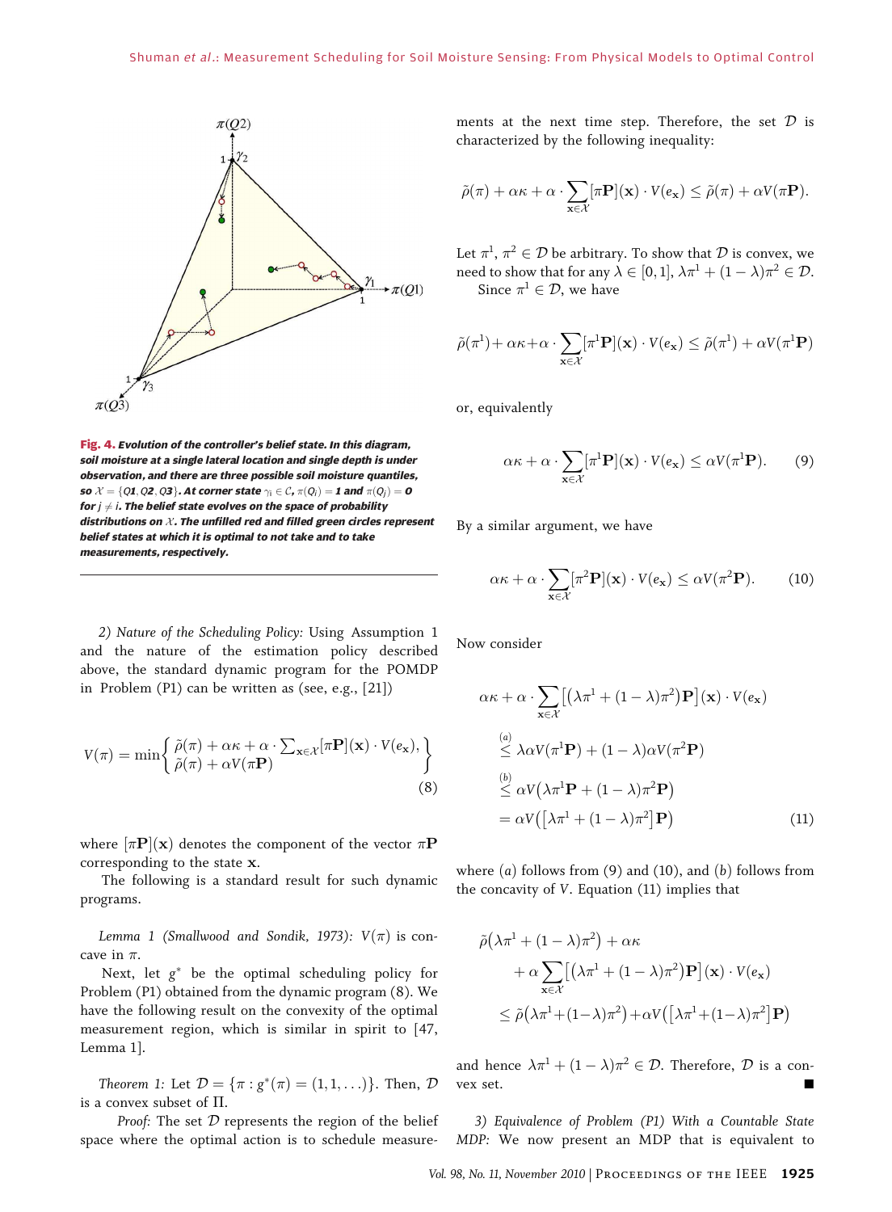

Fig. 4. Evolution of the controller's belief state. In this diagram, soil moisture at a single lateral location and single depth is under observation, and there are three possible soil moisture quantiles, so  $\mathcal{X} = \{Q\mathbf{1},Q\mathbf{2},Q\mathbf{3}\}$ . At corner state  $\gamma_i \in \mathcal{C}$ ,  $\pi(Q_i) = \mathbf{1}$  and  $\pi(Q_i) = \mathbf{0}$ for  $j \neq i$ . The belief state evolves on the space of probability distributions on  $X$ . The unfilled red and filled green circles represent belief states at which it is optimal to not take and to take measurements, respectively.

*2) Nature of the Scheduling Policy:* Using Assumption 1 and the nature of the estimation policy described above, the standard dynamic program for the POMDP in Problem (P1) can be written as (see, e.g., [21])

$$
V(\pi) = \min \left\{ \begin{array}{l} \tilde{\rho}(\pi) + \alpha \kappa + \alpha \cdot \sum_{\mathbf{x} \in \mathcal{X}} [\pi \mathbf{P}] (\mathbf{x}) \cdot V(e_{\mathbf{x}}), \\ \tilde{\rho}(\pi) + \alpha V(\pi \mathbf{P}) \end{array} \right\} \tag{8}
$$

where  $[\pi \mathbf{P}](\mathbf{x})$  denotes the component of the vector  $\pi \mathbf{P}$ corresponding to the state x.

The following is a standard result for such dynamic programs.

*Lemma 1 (Smallwood and Sondik, 1973):*  $V(\pi)$  is concave in  $\pi$ .

Next, let  $g^*$  be the optimal scheduling policy for Problem (P1) obtained from the dynamic program (8). We have the following result on the convexity of the optimal measurement region, which is similar in spirit to [47, Lemma 1].

*Theorem 1:* Let  $\mathcal{D} = {\pi : g^*(\pi) = (1,1,\ldots)}$ . Then,  $\mathcal{D}$ is a convex subset of  $\Pi.$ 

Proof: The set  $D$  represents the region of the belief space where the optimal action is to schedule measurements at the next time step. Therefore, the set  $D$  is characterized by the following inequality:

$$
\tilde{\rho}(\pi) + \alpha \kappa + \alpha \cdot \sum_{\mathbf{x} \in \mathcal{X}} [\pi \mathbf{P}] (\mathbf{x}) \cdot V(e_{\mathbf{x}}) \leq \tilde{\rho}(\pi) + \alpha V(\pi \mathbf{P}).
$$

Let  $\pi^1,\,\pi^2\in\mathcal{D}$  be arbitrary. To show that  $\mathcal D$  is convex, we need to show that for any  $\lambda \in [0,1],$   $\lambda \pi^1 + (1-\lambda) \pi^2 \in \mathcal{D}$ . Since  $\pi^1 \in \mathcal{D}$ , we have

$$
\tilde{\rho}(\pi^1) + \alpha \kappa + \alpha \cdot \sum_{\mathbf{x} \in \mathcal{X}} [\pi^1 \mathbf{P}](\mathbf{x}) \cdot V(e_{\mathbf{x}}) \le \tilde{\rho}(\pi^1) + \alpha V(\pi^1 \mathbf{P})
$$

or, equivalently

$$
\alpha \kappa + \alpha \cdot \sum_{\mathbf{x} \in \mathcal{X}} [\pi^1 \mathbf{P}](\mathbf{x}) \cdot V(e_{\mathbf{x}}) \le \alpha V(\pi^1 \mathbf{P}). \tag{9}
$$

By a similar argument, we have

$$
\alpha \kappa + \alpha \cdot \sum_{\mathbf{x} \in \mathcal{X}} [\pi^2 \mathbf{P}] (\mathbf{x}) \cdot V(e_{\mathbf{x}}) \leq \alpha V(\pi^2 \mathbf{P}). \tag{10}
$$

Now consider

$$
\alpha \kappa + \alpha \cdot \sum_{\mathbf{x} \in \mathcal{X}} \left[ \left( \lambda \pi^1 + (1 - \lambda) \pi^2 \right) \mathbf{P} \right] (\mathbf{x}) \cdot V(e_{\mathbf{x}})
$$
  
\n
$$
\stackrel{(a)}{\leq} \lambda \alpha V(\pi^1 \mathbf{P}) + (1 - \lambda) \alpha V(\pi^2 \mathbf{P})
$$
  
\n
$$
\stackrel{(b)}{\leq} \alpha V \left( \lambda \pi^1 \mathbf{P} + (1 - \lambda) \pi^2 \mathbf{P} \right)
$$
  
\n
$$
= \alpha V \left( \left[ \lambda \pi^1 + (1 - \lambda) \pi^2 \right] \mathbf{P} \right) \tag{11}
$$

where  $(a)$  follows from  $(9)$  and  $(10)$ , and  $(b)$  follows from the concavity of *V*. Equation (11) implies that

$$
\tilde{\rho}(\lambda \pi^1 + (1 - \lambda)\pi^2) + \alpha \kappa
$$
  
+ 
$$
\alpha \sum_{\mathbf{x} \in \mathcal{X}} [(\lambda \pi^1 + (1 - \lambda)\pi^2) \mathbf{P}](\mathbf{x}) \cdot V(e_{\mathbf{x}})
$$
  

$$
\leq \tilde{\rho}(\lambda \pi^1 + (1 - \lambda)\pi^2) + \alpha V([\lambda \pi^1 + (1 - \lambda)\pi^2] \mathbf{P})
$$

and hence  $\lambda \pi^1 + (1 - \lambda) \pi^2 \in \mathcal{D}$ . Therefore,  $\mathcal D$  is a convex set.

*3) Equivalence of Problem (P1) With a Countable State MDP:* We now present an MDP that is equivalent to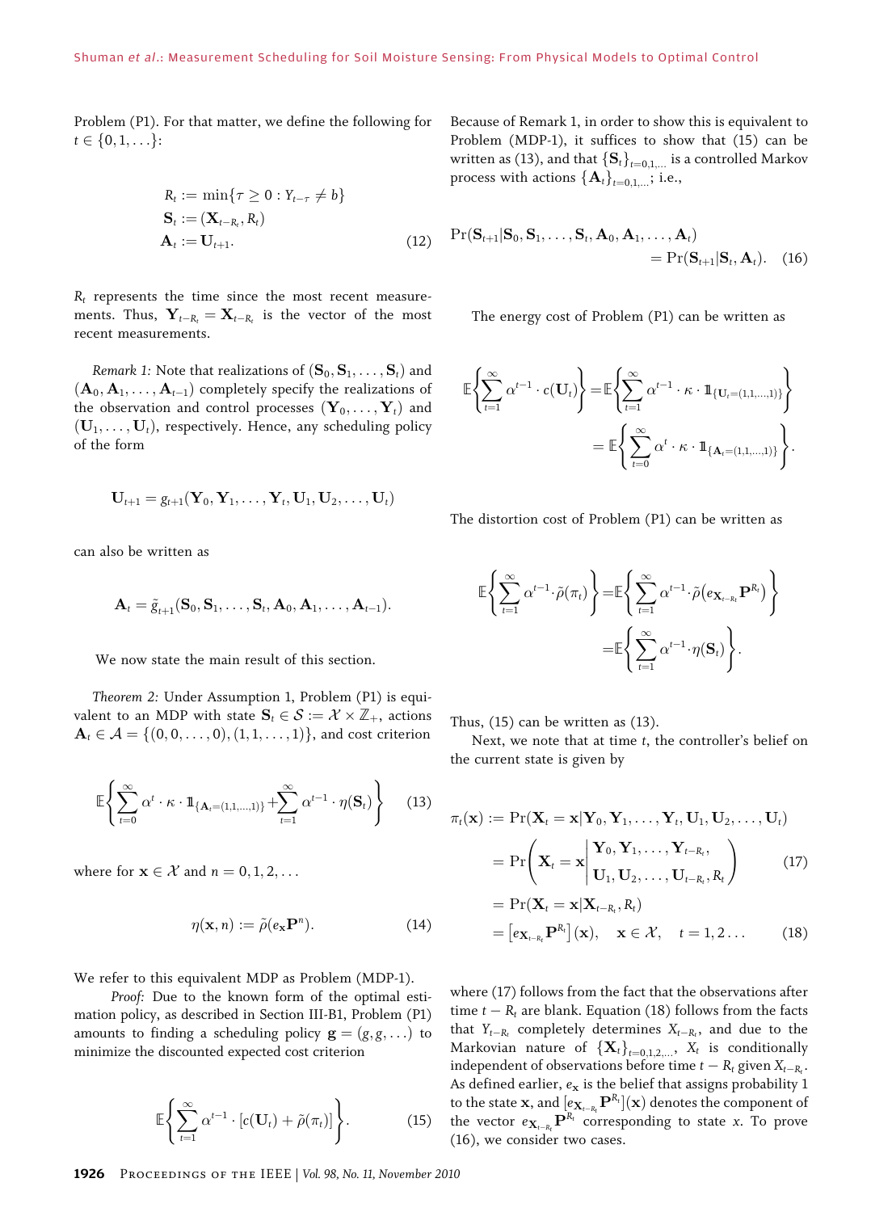Problem (P1). For that matter, we define the following for  $t \in \{0, 1, \ldots\}$ :

$$
R_{t} := \min\{\tau \ge 0 : Y_{t-\tau} \ne b\}
$$
  
\n
$$
\mathbf{S}_{t} := (\mathbf{X}_{t-R_{t}}, R_{t})
$$
  
\n
$$
\mathbf{A}_{t} := \mathbf{U}_{t+1}.
$$
 (12)

 $R_t$  represents the time since the most recent measurements. Thus,  $\mathbf{Y}_{t-R_t} = \mathbf{X}_{t-R_t}$  is the vector of the most recent measurements.

*Remark 1:* Note that realizations of  $(\mathbf{S}_0, \mathbf{S}_1, \dots, \mathbf{S}_t)$  and  $(\mathbf{A}_0, \mathbf{A}_1, \dots, \mathbf{A}_{t-1})$  completely specify the realizations of the observation and control processes  $(Y_0, \ldots, Y_t)$  and  $(\mathbf{U}_1,\ldots,\mathbf{U}_t)$ , respectively. Hence, any scheduling policy of the form

$$
\mathbf{U}_{t+1} = g_{t+1}(\mathbf{Y}_0, \mathbf{Y}_1, \dots, \mathbf{Y}_t, \mathbf{U}_1, \mathbf{U}_2, \dots, \mathbf{U}_t)
$$

can also be written as

$$
\mathbf{A}_t = \tilde{g}_{t+1}(\mathbf{S}_0, \mathbf{S}_1, \dots, \mathbf{S}_t, \mathbf{A}_0, \mathbf{A}_1, \dots, \mathbf{A}_{t-1}).
$$

We now state the main result of this section.

*Theorem 2:* Under Assumption 1, Problem (P1) is equivalent to an MDP with state  $\mathbf{S}_t \in \mathcal{S} := \mathcal{X} \times \mathbb{Z}_+$ , actions  $A_t \in \mathcal{A} = \{(0, 0, \ldots, 0), (1, 1, \ldots, 1)\}\$ , and cost criterion

$$
\mathbb{E}\left\{\sum_{t=0}^{\infty}\alpha^t\cdot\kappa\cdot\mathbb{1}_{\{\mathbf{A}_t=(1,1,\ldots,1)\}}+\sum_{t=1}^{\infty}\alpha^{t-1}\cdot\eta(\mathbf{S}_t)\right\} \qquad(13)
$$

where for  $\mathbf{x} \in \mathcal{X}$  and  $n = 0, 1, 2, \dots$ 

$$
\eta(\mathbf{x}, n) := \tilde{\rho}(e_{\mathbf{x}} \mathbf{P}^n). \tag{14}
$$

We refer to this equivalent MDP as Problem (MDP-1).

*Proof:* Due to the known form of the optimal estimation policy, as described in Section III-B1, Problem (P1) amounts to finding a scheduling policy  $\mathbf{g} = (g, g, \ldots)$  to minimize the discounted expected cost criterion

$$
\mathbb{E}\left\{\sum_{t=1}^{\infty}\alpha^{t-1}\cdot[c(\mathbf{U}_t)+\tilde{\rho}(\pi_t)]\right\}.
$$
 (15)

$$
Pr(\mathbf{S}_{t+1}|\mathbf{S}_0, \mathbf{S}_1, \dots, \mathbf{S}_t, \mathbf{A}_0, \mathbf{A}_1, \dots, \mathbf{A}_t) = Pr(\mathbf{S}_{t+1}|\mathbf{S}_t, \mathbf{A}_t).
$$
 (16)

The energy cost of Problem (P1) can be written as

$$
\mathbb{E}\left\{\sum_{t=1}^{\infty} \alpha^{t-1} \cdot c(\mathbf{U}_t)\right\} = \mathbb{E}\left\{\sum_{t=1}^{\infty} \alpha^{t-1} \cdot \kappa \cdot \mathbb{1}_{\{\mathbf{U}_t=(1,1,\ldots,1)\}}\right\}
$$

$$
= \mathbb{E}\left\{\sum_{t=0}^{\infty} \alpha^t \cdot \kappa \cdot \mathbb{1}_{\{\mathbf{A}_t=(1,1,\ldots,1)\}}\right\}.
$$

The distortion cost of Problem (P1) can be written as

$$
\mathbb{E}\Big\{\sum_{t=1}^{\infty}\alpha^{t-1}\cdot\tilde{\rho}(\pi_t)\Big\}=\mathbb{E}\Big\{\sum_{t=1}^{\infty}\alpha^{t-1}\cdot\tilde{\rho}(e_{\mathbf{X}_{t-R_t}}\mathbf{P}^{R_t})\Big\}
$$

$$
=\mathbb{E}\Big\{\sum_{t=1}^{\infty}\alpha^{t-1}\cdot\eta(\mathbf{S}_t)\Big\}.
$$

Thus, (15) can be written as (13).

Next, we note that at time *t*, the controller's belief on the current state is given by

$$
\pi_t(\mathbf{x}) := \Pr(\mathbf{X}_t = \mathbf{x} | \mathbf{Y}_0, \mathbf{Y}_1, \dots, \mathbf{Y}_t, \mathbf{U}_1, \mathbf{U}_2, \dots, \mathbf{U}_t) \n= \Pr\left(\mathbf{X}_t = \mathbf{x} \middle| \begin{matrix} \mathbf{Y}_0, \mathbf{Y}_1, \dots, \mathbf{Y}_{t-R_t}, \\ \mathbf{U}_1, \mathbf{U}_2, \dots, \mathbf{U}_{t-R_t}, R_t \end{matrix}\right)
$$
\n(17)

$$
= \Pr(\mathbf{X}_t = \mathbf{x} | \mathbf{X}_{t-R_t}, R_t)
$$
  
=  $\left[ e_{\mathbf{X}_{t-R_t}} \mathbf{P}^{R_t} \right](\mathbf{x}), \quad \mathbf{x} \in \mathcal{X}, \quad t = 1, 2 \dots$  (18)

where (17) follows from the fact that the observations after time  $t - R_t$  are blank. Equation (18) follows from the facts that  $Y_{t-R_t}$  completely determines  $X_{t-R_t}$ , and due to the Markovian nature of  $\left\{\mathbf{X}_t\right\}_{t=0,1,2,...},$   $X_t$  is conditionally independent of observations before time  $t - R_t$  given  $X_{t-R_t}$ . As defined earlier,  $e_x$  is the belief that assigns probability 1 to the state **x**, and  $[\mathbf{e}_{\mathbf{X}_{t-R_{t}}} \mathbf{P}^{R_{t}}](\mathbf{x})$  denotes the component of the vector  $e_{\mathbf{X}_{t-R}}\mathbf{P}^{R_t}$  corresponding to state *x*. To prove (16), we consider two cases.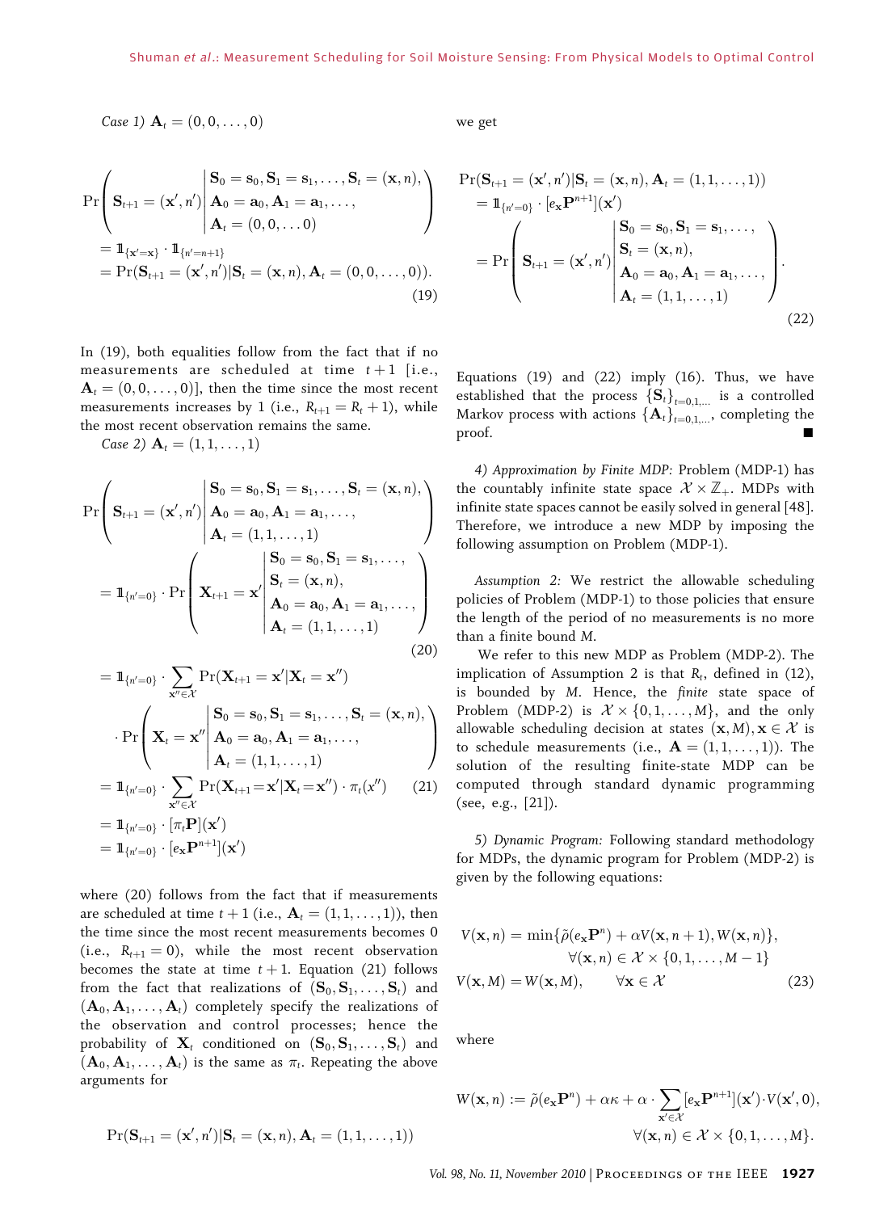*Case 1)*  $A_t = (0, 0, \ldots, 0)$ 

$$
\Pr\left(\mathbf{S}_{t+1} = (\mathbf{x}', n') \middle| \begin{aligned} &\mathbf{S}_0 = \mathbf{s}_0, \mathbf{S}_1 = \mathbf{s}_1, \dots, \mathbf{S}_t = (\mathbf{x}, n), \\ &\mathbf{A}_0 = \mathbf{a}_0, \mathbf{A}_1 = \mathbf{a}_1, \dots, \\ &\mathbf{A}_t = (0, 0, \dots 0) \end{aligned}\right) \\
= \mathbb{I}_{\{\mathbf{x}' = \mathbf{x}\}} \cdot \mathbb{I}_{\{n' = n+1\}} \\
= \Pr(\mathbf{S}_{t+1} = (\mathbf{x}', n') | \mathbf{S}_t = (\mathbf{x}, n), \mathbf{A}_t = (0, 0, \dots, 0)).\n\tag{19}
$$

In (19), both equalities follow from the fact that if no measurements are scheduled at time  $t+1$  [i.e.,  $\mathbf{A}_t = (0, 0, \dots, 0)$ , then the time since the most recent measurements increases by 1 (i.e.,  $R_{t+1} = R_t + 1$ ), while the most recent observation remains the same.

*Case 2)*  $A_t = (1, 1, \ldots, 1)$ 

$$
\Pr\left(\mathbf{S}_{t+1} = (\mathbf{x}', n') \middle| \begin{aligned} &\mathbf{S}_0 = \mathbf{s}_0, \mathbf{S}_1 = \mathbf{s}_1, \dots, \mathbf{S}_t = (\mathbf{x}, n), \\ &\mathbf{A}_0 = \mathbf{a}_0, \mathbf{A}_1 = \mathbf{a}_1, \dots, \\ &\mathbf{A}_t = (1, 1, \dots, 1) \\ &\mathbf{B}_0 = \mathbf{s}_0, \mathbf{S}_1 = \mathbf{s}_1, \dots, \\ &\mathbf{B}_t = (\mathbf{x}, n), \\ &\mathbf{A}_0 = \mathbf{a}_0, \mathbf{A}_1 = \mathbf{a}_1, \dots, \\ &\mathbf{A}_t = (1, 1, \dots, 1) \end{aligned} \right)
$$
\n(20)

$$
= \mathbb{1}_{\{n'=0\}} \cdot \sum_{\mathbf{x}'' \in \mathcal{X}} \Pr(\mathbf{X}_{t+1} = \mathbf{x}' | \mathbf{X}_t = \mathbf{x}'')
$$
  
\n
$$
\cdot \Pr\left(\mathbf{X}_t = \mathbf{x}'' \middle| \begin{aligned} &\mathbf{S}_0 = \mathbf{s}_0, \mathbf{S}_1 = \mathbf{s}_1, \dots, \mathbf{S}_t = (\mathbf{x}, n), \\ &\mathbf{A}_0 = \mathbf{a}_0, \mathbf{A}_1 = \mathbf{a}_1, \dots, \\ &\mathbf{A}_t = (1, 1, \dots, 1) \end{aligned}\right)
$$
  
\n
$$
= \mathbb{1}_{\{n'=0\}} \cdot \sum_{\mathbf{x}'' \in \mathcal{X}} \Pr(\mathbf{X}_{t+1} = \mathbf{x}' | \mathbf{X}_t = \mathbf{x}'') \cdot \pi_t(\mathbf{x}'') \qquad (21)
$$
  
\n
$$
= \mathbb{1}_{\{n'=0\}} \cdot [\pi_t \mathbf{P}](\mathbf{x}')
$$
  
\n
$$
= \mathbb{1}_{\{n'=0\}} \cdot [e_{\mathbf{x}} \mathbf{P}^{n+1}](\mathbf{x}')
$$

where (20) follows from the fact that if measurements are scheduled at time  $t + 1$  (i.e.,  $\mathbf{A}_t = (1, 1, \ldots, 1)$ ), then the time since the most recent measurements becomes 0 (i.e.,  $R_{t+1} = 0$ ), while the most recent observation becomes the state at time  $t + 1$ . Equation (21) follows from the fact that realizations of  $({\bf S}_0,{\bf S}_1,\ldots,{\bf S}_t)$  and  $(\mathbf{A}_0, \mathbf{A}_1, \dots, \mathbf{A}_t)$  completely specify the realizations of the observation and control processes; hence the probability of  $\mathbf{X}_t$  conditioned on  $(\mathbf{S}_0,\mathbf{S}_1,\ldots,\mathbf{S}_t)$  and  $(\mathbf{A}_0, \mathbf{A}_1, \dots, \mathbf{A}_t)$  is the same as  $\pi_t$ . Repeating the above arguments for

$$
\Pr(\mathbf{S}_{t+1}=(\mathbf{x}',n')|\mathbf{S}_t=(\mathbf{x},n),\mathbf{A}_t=(1,1,\ldots,1))
$$

we get

$$
\Pr(\mathbf{S}_{t+1} = (\mathbf{x}', n') | \mathbf{S}_t = (\mathbf{x}, n), \mathbf{A}_t = (1, 1, ..., 1))
$$
  
\n
$$
= \mathbb{1}_{\{n'=0\}} \cdot [e_{\mathbf{x}} \mathbf{P}^{n+1}](\mathbf{x}')
$$
  
\n
$$
= \Pr \left( \mathbf{S}_{t+1} = (\mathbf{x}', n') \middle| \begin{aligned} \mathbf{S}_0 &= \mathbf{s}_0, \mathbf{S}_1 = \mathbf{s}_1, ..., \\ \mathbf{S}_t &= (\mathbf{x}, n), \\ \mathbf{A}_0 &= \mathbf{a}_0, \mathbf{A}_1 = \mathbf{a}_1, ..., \\ \mathbf{A}_t &= (1, 1, ..., 1) \end{aligned} \right). \tag{22}
$$

Equations  $(19)$  and  $(22)$  imply  $(16)$ . Thus, we have established that the process  $\left\{ \mathbf{S}_{t}\right\} _{t=0,1,...}$  is a controlled Markov process with actions  $\left\{\mathbf{A}_t\right\}_{t=0,1,...},$  completing the proof.  $\blacksquare$ 

*4) Approximation by Finite MDP:* Problem (MDP-1) has the countably infinite state space  $\mathcal{X} \times \mathbb{Z}_+$ . MDPs with infinite state spaces cannot be easily solved in general [48]. Therefore, we introduce a new MDP by imposing the following assumption on Problem (MDP-1).

*Assumption 2:* We restrict the allowable scheduling policies of Problem (MDP-1) to those policies that ensure the length of the period of no measurements is no more than a finite bound *M*.

We refer to this new MDP as Problem (MDP-2). The implication of Assumption 2 is that *R<sup>t</sup>* , defined in (12), is bounded by *M*. Hence, the *finite* state space of Problem (MDP-2) is  $\mathcal{X} \times \{0, 1, \ldots, M\}$ , and the only allowable scheduling decision at states  $(\mathbf{x}, M), \mathbf{x} \in \mathcal{X}$  is to schedule measurements (i.e.,  $\mathbf{A} = (1, 1, \dots, 1)$ ). The solution of the resulting finite-state MDP can be computed through standard dynamic programming (see, e.g., [21]).

*5) Dynamic Program:* Following standard methodology for MDPs, the dynamic program for Problem (MDP-2) is given by the following equations:

$$
V(\mathbf{x}, n) = \min\{\tilde{\rho}(e_{\mathbf{x}}\mathbf{P}^{n}) + \alpha V(\mathbf{x}, n+1), W(\mathbf{x}, n)\},
$$

$$
\forall (\mathbf{x}, n) \in \mathcal{X} \times \{0, 1, ..., M-1\}
$$

$$
V(\mathbf{x}, M) = W(\mathbf{x}, M), \qquad \forall \mathbf{x} \in \mathcal{X}
$$
(23)

where

$$
W(\mathbf{x},n) := \tilde{\rho}(e_{\mathbf{x}}\mathbf{P}^n) + \alpha \kappa + \alpha \cdot \sum_{\mathbf{x}' \in \mathcal{X}} [e_{\mathbf{x}}\mathbf{P}^{n+1}](\mathbf{x}') \cdot V(\mathbf{x}',0),
$$
  

$$
\forall (\mathbf{x},n) \in \mathcal{X} \times \{0,1,\ldots,M\}.
$$

*Vol. 98, No. 11, November 2010 |* Proceedings of the IEEE 1927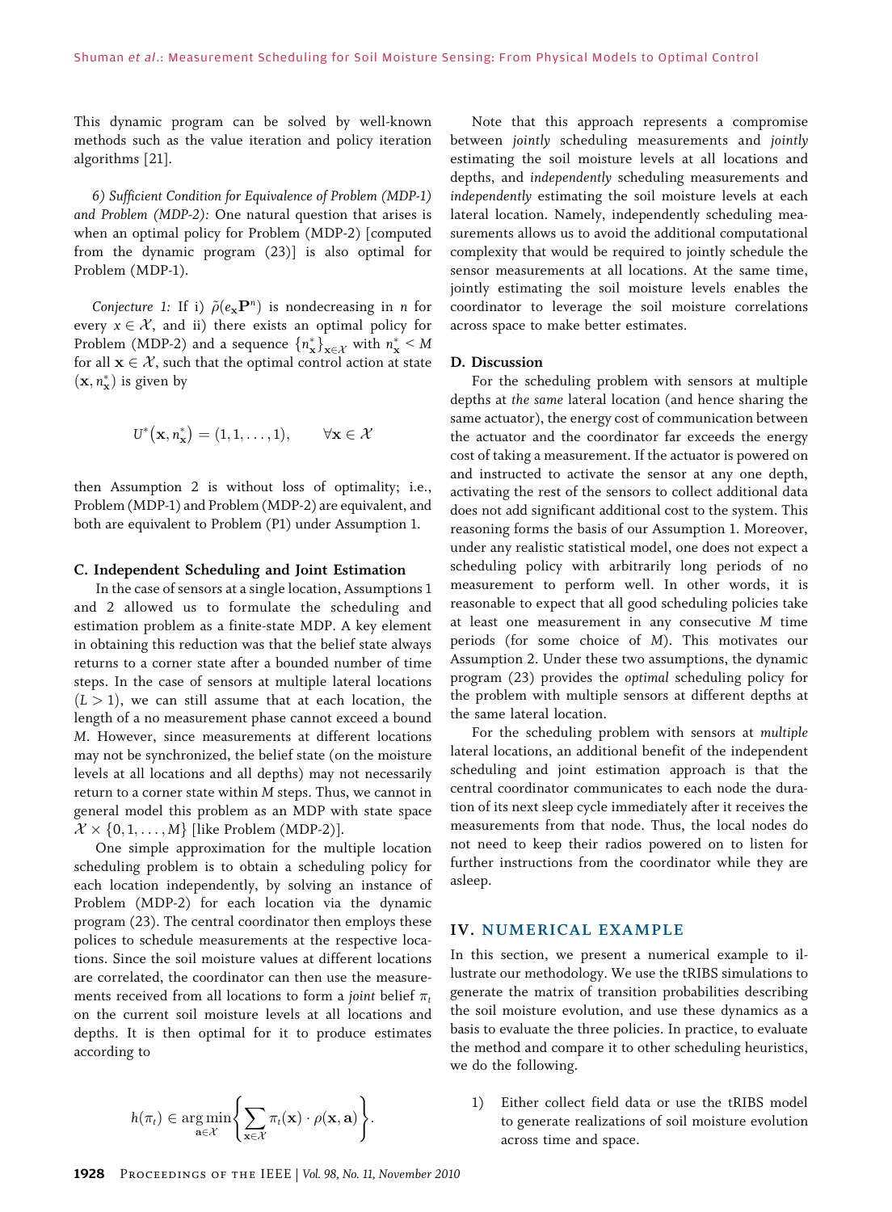This dynamic program can be solved by well-known methods such as the value iteration and policy iteration algorithms [21].

*6) Sufficient Condition for Equivalence of Problem (MDP-1) and Problem (MDP-2):* One natural question that arises is when an optimal policy for Problem (MDP-2) [computed from the dynamic program (23)] is also optimal for Problem (MDP-1).

*Conjecture 1:* If i)  $\tilde{\rho}(e_{\mathbf{x}}\mathbf{P}^n)$  is nondecreasing in *n* for every  $x \in \mathcal{X}$ , and ii) there exists an optimal policy for Problem (MDP-2) and a sequence  $\{n_x^*\}_{x \in \mathcal{X}}$  with  $n_x^* \leq M$ for all  $\mathbf{x} \in \mathcal{X}$ , such that the optimal control action at state  $(\mathbf{x},\textit{n}^*_{\mathbf{x}})$  is given by

$$
U^{\ast}(\mathbf{x}, n_{\mathbf{x}}^{\ast}) = (1, 1, \dots, 1), \qquad \forall \mathbf{x} \in \mathcal{X}
$$

then Assumption 2 is without loss of optimality; i.e., Problem (MDP-1) and Problem (MDP-2) are equivalent, and both are equivalent to Problem (P1) under Assumption 1.

## C. Independent Scheduling and Joint Estimation

In the case of sensors at a single location, Assumptions 1 and 2 allowed us to formulate the scheduling and estimation problem as a finite-state MDP. A key element in obtaining this reduction was that the belief state always returns to a corner state after a bounded number of time steps. In the case of sensors at multiple lateral locations  $(L > 1)$ , we can still assume that at each location, the length of a no measurement phase cannot exceed a bound *M*. However, since measurements at different locations may not be synchronized, the belief state (on the moisture levels at all locations and all depths) may not necessarily return to a corner state within *M* steps. Thus, we cannot in general model this problem as an MDP with state space  $\mathcal{X} \times \{0, 1, \ldots, M\}$  [like Problem (MDP-2)].

One simple approximation for the multiple location scheduling problem is to obtain a scheduling policy for each location independently, by solving an instance of Problem (MDP-2) for each location via the dynamic program (23). The central coordinator then employs these polices to schedule measurements at the respective locations. Since the soil moisture values at different locations are correlated, the coordinator can then use the measurements received from all locations to form a *joint* belief  $\pi_t$ on the current soil moisture levels at all locations and depths. It is then optimal for it to produce estimates according to

$$
h(\pi_t) \in \underset{\mathbf{a} \in \mathcal{X}}{\arg \min} \Bigg\{ \sum_{\mathbf{x} \in \mathcal{X}} \pi_t(\mathbf{x}) \cdot \rho(\mathbf{x}, \mathbf{a}) \Bigg\}.
$$

Note that this approach represents a compromise between *jointly* scheduling measurements and *jointly* estimating the soil moisture levels at all locations and depths, and *independently* scheduling measurements and *independently* estimating the soil moisture levels at each lateral location. Namely, independently scheduling measurements allows us to avoid the additional computational complexity that would be required to jointly schedule the sensor measurements at all locations. At the same time, jointly estimating the soil moisture levels enables the coordinator to leverage the soil moisture correlations across space to make better estimates.

#### D. Discussion

For the scheduling problem with sensors at multiple depths at *the same* lateral location (and hence sharing the same actuator), the energy cost of communication between the actuator and the coordinator far exceeds the energy cost of taking a measurement. If the actuator is powered on and instructed to activate the sensor at any one depth, activating the rest of the sensors to collect additional data does not add significant additional cost to the system. This reasoning forms the basis of our Assumption 1. Moreover, under any realistic statistical model, one does not expect a scheduling policy with arbitrarily long periods of no measurement to perform well. In other words, it is reasonable to expect that all good scheduling policies take at least one measurement in any consecutive *M* time periods (for some choice of *M*). This motivates our Assumption 2. Under these two assumptions, the dynamic program (23) provides the *optimal* scheduling policy for the problem with multiple sensors at different depths at the same lateral location.

For the scheduling problem with sensors at *multiple* lateral locations, an additional benefit of the independent scheduling and joint estimation approach is that the central coordinator communicates to each node the duration of its next sleep cycle immediately after it receives the measurements from that node. Thus, the local nodes do not need to keep their radios powered on to listen for further instructions from the coordinator while they are asleep.

## IV. NUMERICAL EXAMPLE

In this section, we present a numerical example to illustrate our methodology. We use the tRIBS simulations to generate the matrix of transition probabilities describing the soil moisture evolution, and use these dynamics as a basis to evaluate the three policies. In practice, to evaluate the method and compare it to other scheduling heuristics, we do the following.

1) Either collect field data or use the tRIBS model to generate realizations of soil moisture evolution across time and space.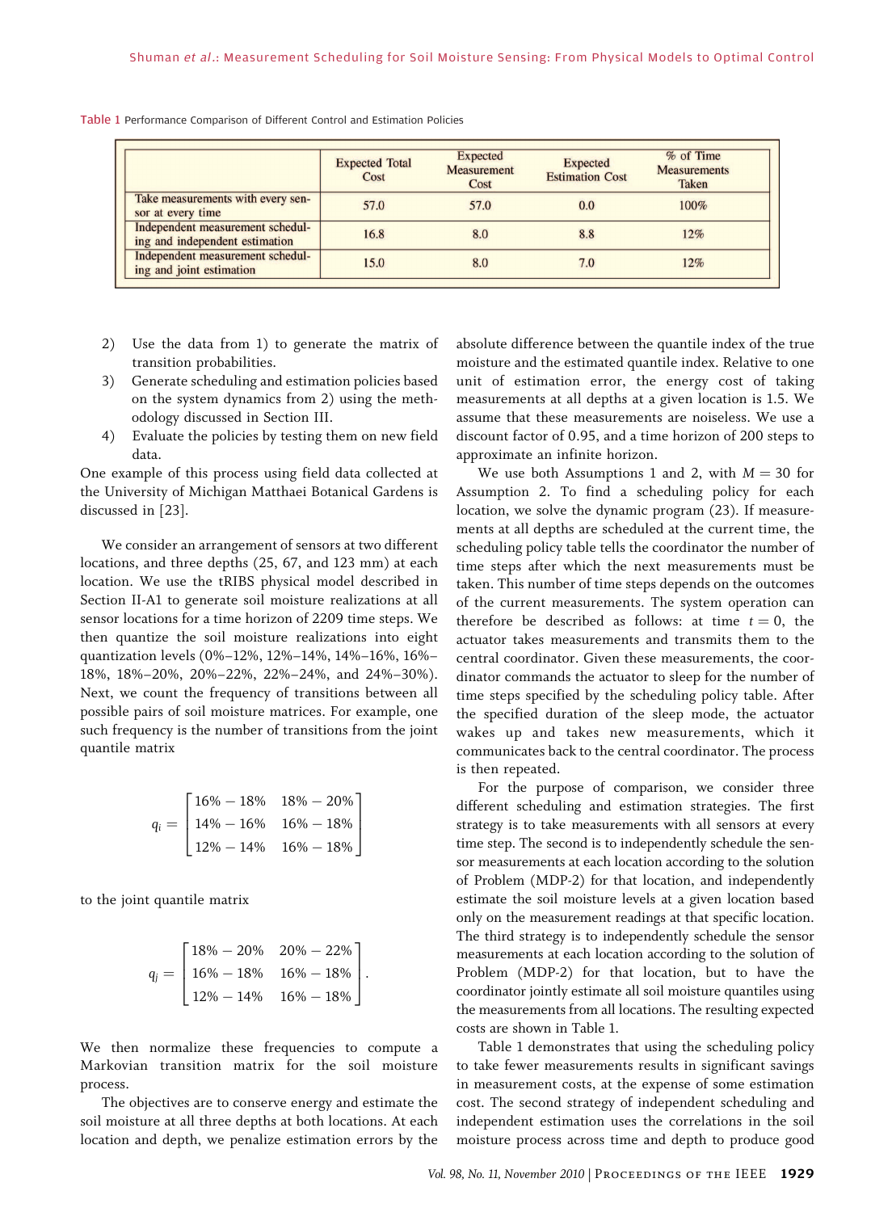|                                                                    | <b>Expected Total</b><br>Cost | Expected<br><b>Measurement</b><br>Cost | Expected<br><b>Estimation Cost</b> | % of Time<br><b>Measurements</b><br>Taken |
|--------------------------------------------------------------------|-------------------------------|----------------------------------------|------------------------------------|-------------------------------------------|
| Take measurements with every sen-<br>sor at every time             | 57.0                          | 57.0                                   | 0.0                                | 100%                                      |
| Independent measurement schedul-<br>ing and independent estimation | 16.8                          | 8.0                                    | 8.8                                | 12%                                       |
| Independent measurement schedul-<br>ing and joint estimation       | 15.0                          | 8.0                                    | 7.0                                | 12%                                       |

Table 1 Performance Comparison of Different Control and Estimation Policies

- 2) Use the data from 1) to generate the matrix of transition probabilities.
- 3) Generate scheduling and estimation policies based on the system dynamics from 2) using the methodology discussed in Section III.
- 4) Evaluate the policies by testing them on new field data.

One example of this process using field data collected at the University of Michigan Matthaei Botanical Gardens is discussed in [23].

We consider an arrangement of sensors at two different locations, and three depths (25, 67, and 123 mm) at each location. We use the tRIBS physical model described in Section II-A1 to generate soil moisture realizations at all sensor locations for a time horizon of 2209 time steps. We then quantize the soil moisture realizations into eight quantization levels (0%–12%, 12%–14%, 14%–16%, 16%– 18%, 18%–20%, 20%–22%, 22%–24%, and 24%–30%). Next, we count the frequency of transitions between all possible pairs of soil moisture matrices. For example, one such frequency is the number of transitions from the joint quantile matrix

$$
q_i=\left[\begin{matrix} 16\%-18\% & 18\%-20\% \\ 14\%-16\% & 16\%-18\% \\ 12\%-14\% & 16\%-18\% \end{matrix}\right]
$$

to the joint quantile matrix

$$
q_j = \begin{bmatrix} 18\% - 20\% & 20\% - 22\% \\ 16\% - 18\% & 16\% - 18\% \\ 12\% - 14\% & 16\% - 18\% \end{bmatrix}.
$$

We then normalize these frequencies to compute a Markovian transition matrix for the soil moisture process.

The objectives are to conserve energy and estimate the soil moisture at all three depths at both locations. At each location and depth, we penalize estimation errors by the absolute difference between the quantile index of the true moisture and the estimated quantile index. Relative to one unit of estimation error, the energy cost of taking measurements at all depths at a given location is 1.5. We assume that these measurements are noiseless. We use a discount factor of 0.95, and a time horizon of 200 steps to approximate an infinite horizon.

We use both Assumptions 1 and 2, with  $M = 30$  for Assumption 2. To find a scheduling policy for each location, we solve the dynamic program (23). If measurements at all depths are scheduled at the current time, the scheduling policy table tells the coordinator the number of time steps after which the next measurements must be taken. This number of time steps depends on the outcomes of the current measurements. The system operation can therefore be described as follows: at time  $t = 0$ , the actuator takes measurements and transmits them to the central coordinator. Given these measurements, the coordinator commands the actuator to sleep for the number of time steps specified by the scheduling policy table. After the specified duration of the sleep mode, the actuator wakes up and takes new measurements, which it communicates back to the central coordinator. The process is then repeated.

For the purpose of comparison, we consider three different scheduling and estimation strategies. The first strategy is to take measurements with all sensors at every time step. The second is to independently schedule the sensor measurements at each location according to the solution of Problem (MDP-2) for that location, and independently estimate the soil moisture levels at a given location based only on the measurement readings at that specific location. The third strategy is to independently schedule the sensor measurements at each location according to the solution of Problem (MDP-2) for that location, but to have the coordinator jointly estimate all soil moisture quantiles using the measurements from all locations. The resulting expected costs are shown in Table 1.

Table 1 demonstrates that using the scheduling policy to take fewer measurements results in significant savings in measurement costs, at the expense of some estimation cost. The second strategy of independent scheduling and independent estimation uses the correlations in the soil moisture process across time and depth to produce good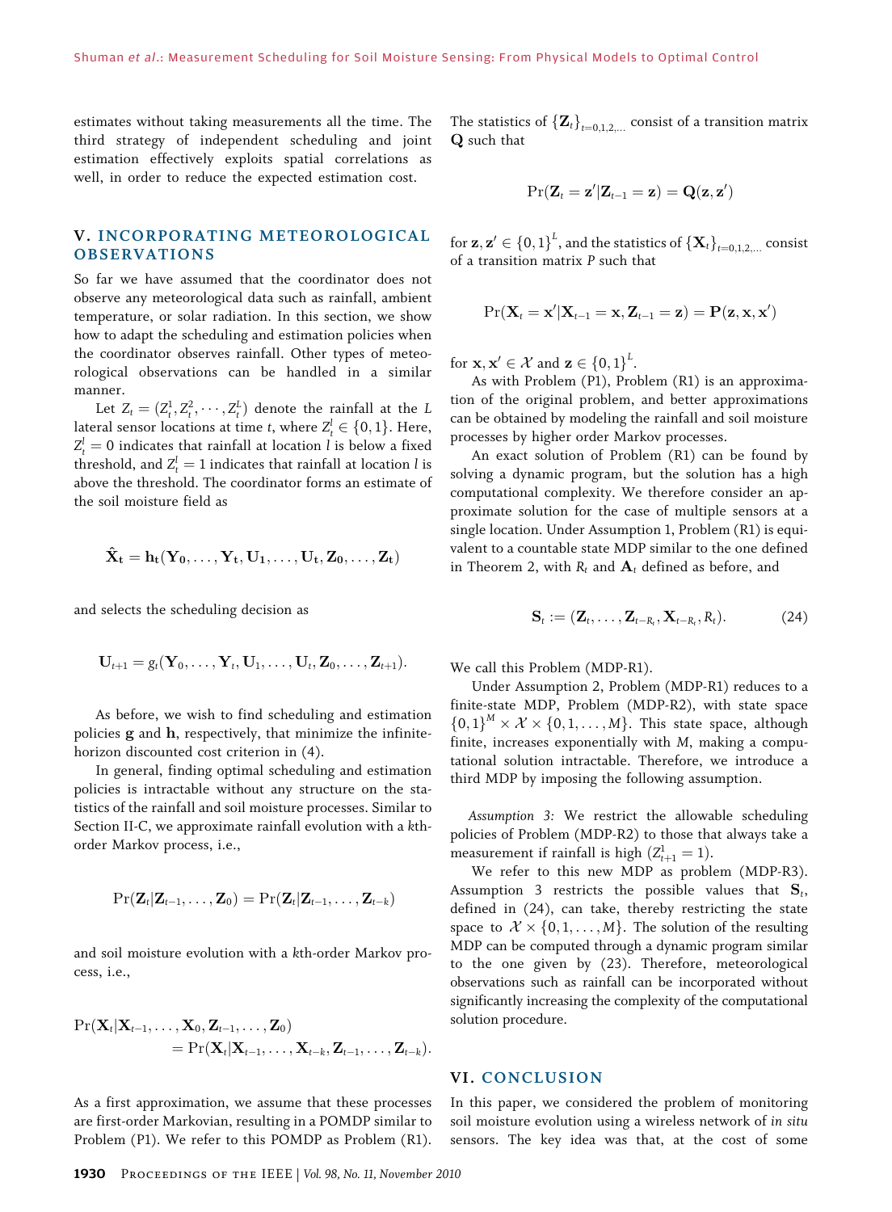estimates without taking measurements all the time. The third strategy of independent scheduling and joint estimation effectively exploits spatial correlations as well, in order to reduce the expected estimation cost.

# V. INCORPORATING METEOROLOGICAL OBSERVATIONS

So far we have assumed that the coordinator does not observe any meteorological data such as rainfall, ambient temperature, or solar radiation. In this section, we show how to adapt the scheduling and estimation policies when the coordinator observes rainfall. Other types of meteorological observations can be handled in a similar manner.

Let  $Z_t = (Z_t^1, Z_t^2, \dots, Z_t^L)$  denote the rainfall at the *L* lateral sensor locations at time *t*, where  $Z_t^l \in \{0,1\}$ . Here,  $Z_t^l = 0$  indicates that rainfall at location *l* is below a fixed threshold, and  $Z_t^l = 1$  indicates that rainfall at location *l* is above the threshold. The coordinator forms an estimate of the soil moisture field as

$$
\hat{\mathbf{X}}_t = \mathbf{h}_t(\mathbf{Y}_0,\ldots,\mathbf{Y}_t,\mathbf{U}_1,\ldots,\mathbf{U}_t,\mathbf{Z}_0,\ldots,\mathbf{Z}_t)
$$

and selects the scheduling decision as

$$
\mathbf{U}_{t+1} = g_t(\mathbf{Y}_0,\ldots,\mathbf{Y}_t,\mathbf{U}_1,\ldots,\mathbf{U}_t,\mathbf{Z}_0,\ldots,\mathbf{Z}_{t+1}).
$$

As before, we wish to find scheduling and estimation policies  $g$  and  $h$ , respectively, that minimize the infinitehorizon discounted cost criterion in (4).

In general, finding optimal scheduling and estimation policies is intractable without any structure on the statistics of the rainfall and soil moisture processes. Similar to Section II-C, we approximate rainfall evolution with a *k*thorder Markov process, i.e.,

$$
\Pr(\mathbf{Z}_t|\mathbf{Z}_{t-1},\ldots,\mathbf{Z}_0)=\Pr(\mathbf{Z}_t|\mathbf{Z}_{t-1},\ldots,\mathbf{Z}_{t-k})
$$

and soil moisture evolution with a *k*th-order Markov process, i.e.,

$$
\Pr(\mathbf{X}_t|\mathbf{X}_{t-1},\ldots,\mathbf{X}_0,\mathbf{Z}_{t-1},\ldots,\mathbf{Z}_0)\\ = \Pr(\mathbf{X}_t|\mathbf{X}_{t-1},\ldots,\mathbf{X}_{t-k},\mathbf{Z}_{t-1},\ldots,\mathbf{Z}_{t-k}).
$$

As a first approximation, we assume that these processes are first-order Markovian, resulting in a POMDP similar to Problem (P1). We refer to this POMDP as Problem (R1). The statistics of  $\left\{ \mathbf{Z}_{t}\right\} _{t=0,1,2,...}$  consist of a transition matrix Q such that

$$
\Pr(\mathbf{Z}_t = \mathbf{z}'|\mathbf{Z}_{t-1} = \mathbf{z}) = \mathbf{Q}(\mathbf{z}, \mathbf{z}')
$$

for  $\mathbf{z},\mathbf{z}'\in\left\{0,1\right\}^L$ , and the statistics of  $\left\{\mathbf{X}_t\right\}_{t=0,1,2,...}$  consist of a transition matrix *P* such that

$$
\Pr(\mathbf{X}_t = \mathbf{x}' | \mathbf{X}_{t-1} = \mathbf{x}, \mathbf{Z}_{t-1} = \mathbf{z}) = \mathbf{P}(\mathbf{z}, \mathbf{x}, \mathbf{x}')
$$

for  $\mathbf{x}, \mathbf{x}' \in \mathcal{X}$  and  $\mathbf{z} \in \{0,1\}^L$ .

As with Problem (P1), Problem (R1) is an approximation of the original problem, and better approximations can be obtained by modeling the rainfall and soil moisture processes by higher order Markov processes.

An exact solution of Problem (R1) can be found by solving a dynamic program, but the solution has a high computational complexity. We therefore consider an approximate solution for the case of multiple sensors at a single location. Under Assumption 1, Problem (R1) is equivalent to a countable state MDP similar to the one defined in Theorem 2, with  $R_t$  and  $A_t$  defined as before, and

$$
\mathbf{S}_t := (\mathbf{Z}_t, \dots, \mathbf{Z}_{t-R_t}, \mathbf{X}_{t-R_t}, R_t). \tag{24}
$$

We call this Problem (MDP-R1).

Under Assumption 2, Problem (MDP-R1) reduces to a finite-state MDP, Problem (MDP-R2), with state space  ${0,1}^M \times \mathcal{X} \times {0,1,\ldots,M}$ . This state space, although finite, increases exponentially with *M*, making a computational solution intractable. Therefore, we introduce a third MDP by imposing the following assumption.

*Assumption 3:* We restrict the allowable scheduling policies of Problem (MDP-R2) to those that always take a measurement if rainfall is high  $(Z_{t+1}^1 = 1)$ .

We refer to this new MDP as problem (MDP-R3). Assumption 3 restricts the possible values that S*<sup>t</sup>* , defined in (24), can take, thereby restricting the state space to  $\mathcal{X} \times \{0, 1, \ldots, M\}$ . The solution of the resulting MDP can be computed through a dynamic program similar to the one given by (23). Therefore, meteorological observations such as rainfall can be incorporated without significantly increasing the complexity of the computational solution procedure.

## VI. CONCLUSION

In this paper, we considered the problem of monitoring soil moisture evolution using a wireless network of *in situ* sensors. The key idea was that, at the cost of some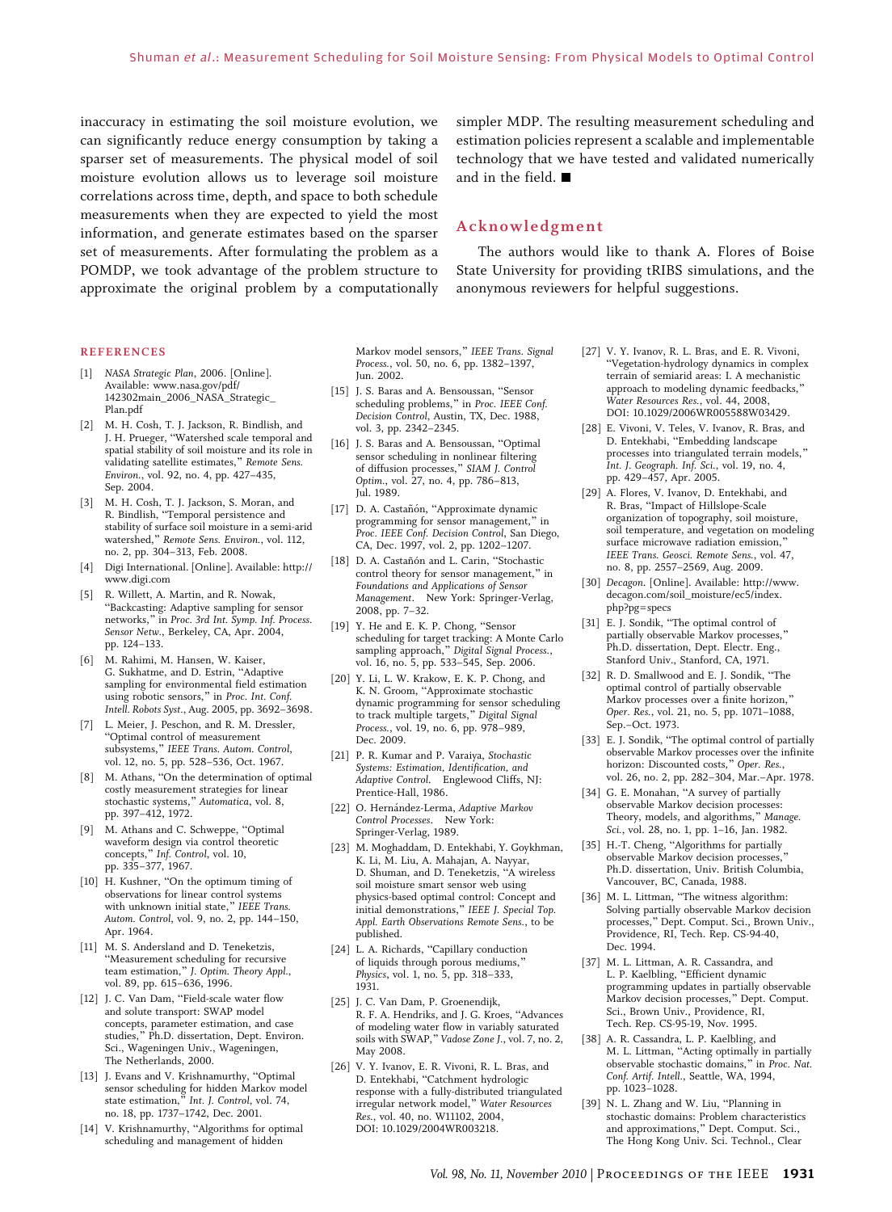inaccuracy in estimating the soil moisture evolution, we can significantly reduce energy consumption by taking a sparser set of measurements. The physical model of soil moisture evolution allows us to leverage soil moisture correlations across time, depth, and space to both schedule measurements when they are expected to yield the most information, and generate estimates based on the sparser set of measurements. After formulating the problem as a POMDP, we took advantage of the problem structure to approximate the original problem by a computationally simpler MDP. The resulting measurement scheduling and estimation policies represent a scalable and implementable technology that we have tested and validated numerically and in the field.  $\blacksquare$ 

# Acknowledgment

The authors would like to thank A. Flores of Boise State University for providing tRIBS simulations, and the anonymous reviewers for helpful suggestions.

#### **REFERENCES**

- [1] *NASA Strategic Plan*, 2006. [Online]. Available: www.nasa.gov/pdf/ 142302main\_2006\_NASA\_Strategic\_ Plan.pdf
- [2] M. H. Cosh, T. J. Jackson, R. Bindlish, and<br>J. H. Prueger, "Watershed scale temporal and spatial stability of soil moisture and its role in<br>validating satellite estimates," *Remote Sen*s. *Environ.*, vol. 92, no. 4, pp. 427–435, Sep. 2004.
- [3] M. H. Cosh, T. J. Jackson, S. Moran, and<br>R. Bindlish, "Temporal persistence and stability of surface soil moisture in a semi-arid watershed,[ *Remote Sens. Environ.*, vol. 112, no. 2, pp. 304–313, Feb. 2008.
- [4] Digi International. [Online]. Available: http:// www.digi.com
- [5] R. Willett, A. Martin, and R. Nowak, BBackcasting: Adaptive sampling for sensor networks,[ in *Proc. 3rd Int. Symp. Inf. Process. Sensor Netw.*, Berkeley, CA, Apr. 2004, pp. 124–133.
- [6] M. Rahimi, M. Hansen, W. Kaiser, G. Sukhatme, and D. Estrin, "Adaptive sampling for environmental field estimation using robotic sensors," in *Proc. Int. Conf. Intell. Robots Syst.*, Aug. 2005, pp. 3692–3698.
- [7] L. Meier, J. Peschon, and R. M. Dressler, "Optimal control of measurement subsystems," IEEE Trans. Autom. Control, vol. 12, no. 5, pp. 528–536, Oct. 1967.
- [8] M. Athans, "On the determination of optimal costly measurement strategies for linear stochastic systems,[ *Automatica*, vol. 8, pp. 397–412, 1972.
- [9] M. Athans and C. Schweppe, "Optimal waveform design via control theoretic concepts,[ *Inf. Control*, vol. 10, pp. 335–377, 1967.
- $\left[10\right]$  H. Kushner, "On the optimum timing of observations for linear control systems with unknown initial state," IEEE Trans. *Autom. Control*, vol. 9, no. 2, pp. 144–150, Apr. 1964.
- [11] M. S. Andersland and D. Teneketzis, BMeasurement scheduling for recursive team estimation,[ *J. Optim. Theory Appl.*, vol. 89, pp. 615–636, 1996.
- [12] J. C. Van Dam, "Field-scale water flow and solute transport: SWAP model concepts, parameter estimation, and case studies," Ph.D. dissertation, Dept. Environ. Sci., Wageningen Univ., Wageningen, The Netherlands, 2000.
- [13] J. Evans and V. Krishnamurthy, "Optimal sensor scheduling for hidden Markov model state estimation," Int. J. Control, vol. 74, no. 18, pp. 1737–1742, Dec. 2001.
- [14] V. Krishnamurthy, "Algorithms for optimal scheduling and management of hidden

Markov model sensors,[ *IEEE Trans. Signal Process.*, vol. 50, no. 6, pp. 1382–1397, Jun. 2002.

- [15] J. S. Baras and A. Bensoussan, "Sensor scheduling problems," in *Proc. IEEE Conf. Decision Control*, Austin, TX, Dec. 1988, vol. 3, pp. 2342–2345.
- [16] J. S. Baras and A. Bensoussan, "Optimal sensor scheduling in nonlinear filtering of diffusion processes,[ *SIAM J. Control Optim.*, vol. 27, no. 4, pp. 786–813, Jul. 1989.
- [17] D. A. Castañón, "Approximate dynamic programming for sensor management," in *Proc. IEEE Conf. Decision Control*, San Diego, CA, Dec. 1997, vol. 2, pp. 1202–1207.
- [18] D. A. Castañón and L. Carin, "Stochastic control theory for sensor management," in *Foundations and Applications of Sensor Management*. New York: Springer-Verlag, 2008, pp. 7–32.
- [19] Y. He and E. K. P. Chong, "Sensor scheduling for target tracking: A Monte Carlo<br>sampling approach," Digital Signal Process., vol. 16, no. 5, pp. 533–545, Sep. 2006.
- [20] Y. Li, L. W. Krakow, E. K. P. Chong, and K. N. Groom, "Approximate stochastic dynamic programming for sensor scheduling to track multiple targets,[ *Digital Signal Process.*, vol. 19, no. 6, pp. 978–989, Dec. 2009.
- [21] P. R. Kumar and P. Varaiya, *Stochastic Systems: Estimation, Identification, and Adaptive Control*. Englewood Cliffs, NJ: Prentice-Hall, 1986.
- [22] O. Hernández-Lerma, *Adaptive Markov Control Processes*. New York: Springer-Verlag, 1989.
- [23] M. Moghaddam, D. Entekhabi, Y. Goykhman, K. Li, M. Liu, A. Mahajan, A. Nayyar, D. Shuman, and D. Teneketzis, "A wireless soil moisture smart sensor web using physics-based optimal control: Concept and initial demonstrations," IEEE J. Special Top. *Appl. Earth Observations Remote Sens.*, to be published.
- [24] L. A. Richards, "Capillary conduction of liquids through porous mediums," *Physics*, vol. 1, no. 5, pp. 318–333, 1931.
- [25] J. C. Van Dam, P. Groenendijk, R. F. A. Hendriks, and J. G. Kroes, "Advances of modeling water flow in variably saturated<br>soils with SWAP," *Vadose Zone J.*, vol. 7, no. 2, May 2008.
- [26] V. Y. Ivanov, E. R. Vivoni, R. L. Bras, and D. Entekhabi, "Catchment hydrologic response with a fully-distributed triangulated irregular network model,[ *Water Resources Res.*, vol. 40, no. W11102, 2004, DOI: 10.1029/2004WR003218.
- [27] V. Y. Ivanov, R. L. Bras, and E. R. Vivoni, BVegetation-hydrology dynamics in complex terrain of semiarid areas: I. A mechanistic approach to modeling dynamic feedbacks," *Water Resources Res.*, vol. 44, 2008, DOI: 10.1029/2006WR005588W03429.
- [28] E. Vivoni, V. Teles, V. Ivanov, R. Bras, and D. Entekhabi, "Embedding landscape processes into triangulated terrain models," *Int. J. Geograph. Inf. Sci.*, vol. 19, no. 4, pp. 429–457, Apr. 2005.
- [29] A. Flores, V. Ivanov, D. Entekhabi, and R. Bras, "Impact of Hillslope-Scale organization of topography, soil moisture, soil temperature, and vegetation on modeling surface microwave radiation emission. *IEEE Trans. Geosci. Remote Sens.*, vol. 47, no. 8, pp. 2557–2569, Aug. 2009.
- [30] *Decagon*. [Online]. Available: http://www. decagon.com/soil\_moisture/ec5/index. php?pg=specs
- [31] E. J. Sondik, "The optimal control of partially observable Markov processes," Ph.D. dissertation, Dept. Electr. Eng., Stanford Univ., Stanford, CA, 1971.
- [32] R. D. Smallwood and E. J. Sondik, "The optimal control of partially observable Markov processes over a finite horizon," *Oper. Res.*, vol. 21, no. 5, pp. 1071–1088, Sep.–Oct. 1973.
- [33] E. J. Sondik, "The optimal control of partially observable Markov processes over the infinite<br>horizon: Discounted costs," Oper. Res., vol. 26, no. 2, pp. 282–304, Mar.–Apr. 1978.
- [34] G. E. Monahan, "A survey of partially observable Markov decision processes: Theory, models, and algorithms,[ *Manage. Sci.*, vol. 28, no. 1, pp. 1–16, Jan. 1982.
- [35] H.-T. Cheng, "Algorithms for partially<br>observable Markov decision processes," Ph.D. dissertation, Univ. British Columbia, Vancouver, BC, Canada, 1988.
- [36] M. L. Littman, "The witness algorithm: Solving partially observable Markov decision processes," Dept. Comput. Sci., Brown Univ., Providence, RI, Tech. Rep. CS-94-40, Dec. 1994.
- [37] M. L. Littman, A. R. Cassandra, and<br>L. P. Kaelbling, "Efficient dynamic programming updates in partially observable Markov decision processes," Dept. Comput. Sci., Brown Univ., Providence, RI, Tech. Rep. CS-95-19, Nov. 1995.
- [38] A. R. Cassandra, L. P. Kaelbling, and M. L. Littman, "Acting optimally in partially observable stochastic domains," in *Proc. Nat. Conf. Artif. Intell.*, Seattle, WA, 1994, pp. 1023–1028.
- [39] N. L. Zhang and W. Liu, "Planning in stochastic domains: Problem characteristics<br>and approximations," Dept. Comput. Sci., The Hong Kong Univ. Sci. Technol., Clear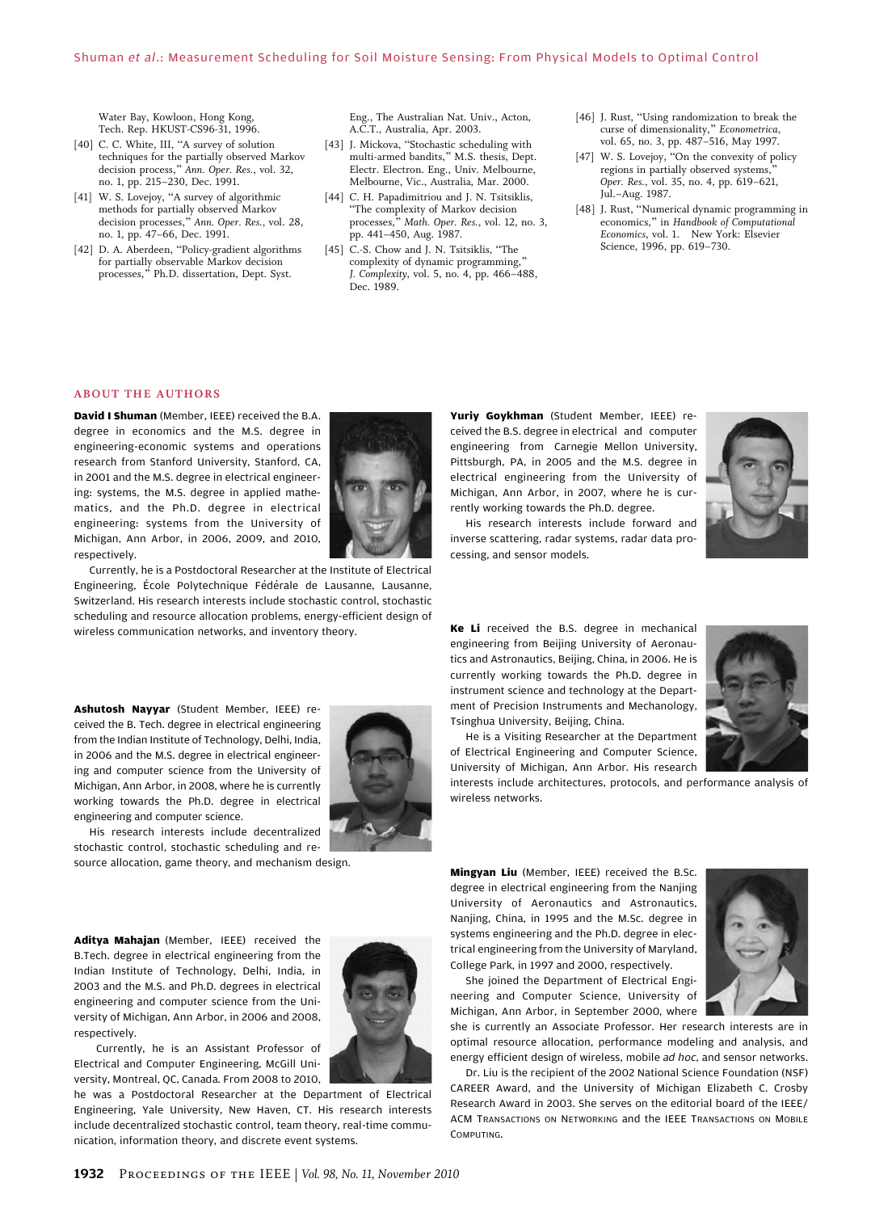Water Bay, Kowloon, Hong Kong, Tech. Rep. HKUST-CS96-31, 1996.

- [40] C. C. White, III, "A survey of solution techniques for the partially observed Markov<br>decision process," Ann. Oper. Res., vol. 32, no. 1, pp. 215–230, Dec. 1991.
- [41] W. S. Lovejoy, "A survey of algorithmic methods for partially observed Markov<br>decision processes," Ann. Oper. Res., vol. 28, no. 1, pp. 47–66, Dec. 1991.
- [42] D. A. Aberdeen, "Policy-gradient algorithms for partially observable Markov decision processes," Ph.D. dissertation, Dept. Syst.

Eng., The Australian Nat. Univ., Acton, A.C.T., Australia, Apr. 2003.

- [43] J. Mickova, "Stochastic scheduling with multi-armed bandits," M.S. thesis, Dept. Electr. Electron. Eng., Univ. Melbourne, Melbourne, Vic., Australia, Mar. 2000.
- [44] C. H. Papadimitriou and J. N. Tsitsiklis, "The complexity of Markov decision<br>processes," Math. Oper. Res., vol. 12, no. 3, pp. 441–450, Aug. 1987.
- [45] C.-S. Chow and J. N. Tsitsiklis, "The complexity of dynamic programming,[ *J. Complexity*, vol. 5, no. 4, pp. 466–488, Dec. 1989.
- [46] J. Rust, "Using randomization to break the curse of dimensionality,[ *Econometrica*, vol. 65, no. 3, pp. 487–516, May 1997.
- [47] W. S. Lovejoy, "On the convexity of policy regions in partially observed systems, *Oper. Res.*, vol. 35, no. 4, pp. 619–621, Jul.–Aug. 1987.
- [48] J. Rust, "Numerical dynamic programming in economics,[ in *Handbook of Computational Economics*, vol. 1. New York: Elsevier Science, 1996, pp. 619–730.

#### ABOUT THE AUTHORS

David I Shuman (Member, IEEE) received the B.A. degree in economics and the M.S. degree in engineering-economic systems and operations research from Stanford University, Stanford, CA, in 2001 and the M.S. degree in electrical engineering: systems, the M.S. degree in applied mathematics, and the Ph.D. degree in electrical engineering: systems from the University of Michigan, Ann Arbor, in 2006, 2009, and 2010, respectively.



Currently, he is a Postdoctoral Researcher at the Institute of Electrical Engineering, École Polytechnique Fédérale de Lausanne, Lausanne, Switzerland. His research interests include stochastic control, stochastic scheduling and resource allocation problems, energy-efficient design of wireless communication networks, and inventory theory.

Ashutosh Nayyar (Student Member, IEEE) received the B. Tech. degree in electrical engineering from the Indian Institute of Technology, Delhi, India, in 2006 and the M.S. degree in electrical engineering and computer science from the University of Michigan, Ann Arbor, in 2008, where he is currently working towards the Ph.D. degree in electrical engineering and computer science.

His research interests include decentralized stochastic control, stochastic scheduling and resource allocation, game theory, and mechanism design.

Aditya Mahajan (Member, IEEE) received the B.Tech. degree in electrical engineering from the Indian Institute of Technology, Delhi, India, in 2003 and the M.S. and Ph.D. degrees in electrical engineering and computer science from the University of Michigan, Ann Arbor, in 2006 and 2008, respectively.



Currently, he is an Assistant Professor of Electrical and Computer Engineering, McGill University, Montreal, QC, Canada. From 2008 to 2010,

he was a Postdoctoral Researcher at the Department of Electrical Engineering, Yale University, New Haven, CT. His research interests include decentralized stochastic control, team theory, real-time communication, information theory, and discrete event systems.

Yuriy Goykhman (Student Member, IEEE) received the B.S. degree in electrical and computer engineering from Carnegie Mellon University, Pittsburgh, PA, in 2005 and the M.S. degree in electrical engineering from the University of Michigan, Ann Arbor, in 2007, where he is currently working towards the Ph.D. degree.



His research interests include forward and inverse scattering, radar systems, radar data processing, and sensor models.

Ke Li received the B.S. degree in mechanical engineering from Beijing University of Aeronautics and Astronautics, Beijing, China, in 2006. He is currently working towards the Ph.D. degree in instrument science and technology at the Department of Precision Instruments and Mechanology, Tsinghua University, Beijing, China.

He is a Visiting Researcher at the Department of Electrical Engineering and Computer Science, University of Michigan, Ann Arbor. His research



interests include architectures, protocols, and performance analysis of wireless networks.

Mingyan Liu (Member, IEEE) received the B.Sc. degree in electrical engineering from the Nanjing University of Aeronautics and Astronautics, Nanjing, China, in 1995 and the M.Sc. degree in systems engineering and the Ph.D. degree in electrical engineering from the University of Maryland, College Park, in 1997 and 2000, respectively.

She joined the Department of Electrical Engineering and Computer Science, University of Michigan, Ann Arbor, in September 2000, where

she is currently an Associate Professor. Her research interests are in optimal resource allocation, performance modeling and analysis, and energy efficient design of wireless, mobile ad hoc, and sensor networks.

Dr. Liu is the recipient of the 2002 National Science Foundation (NSF) CAREER Award, and the University of Michigan Elizabeth C. Crosby Research Award in 2003. She serves on the editorial board of the IEEE/ ACM TRANSACTIONS ON NETWORKING and the IEEE TRANSACTIONS ON MOBILE COMPUTING.